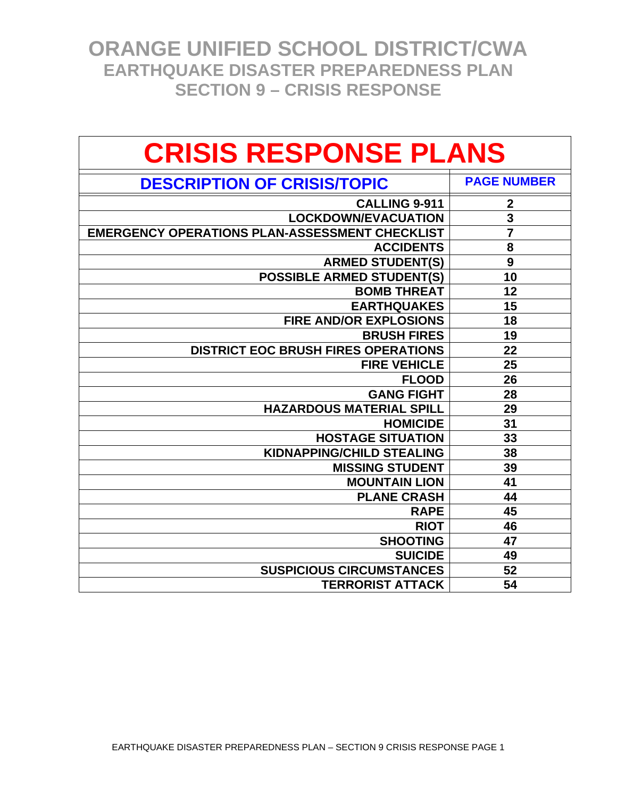| <b>CRISIS RESPONSE PLANS</b>                          |                    |  |
|-------------------------------------------------------|--------------------|--|
| <b>DESCRIPTION OF CRISIS/TOPIC</b>                    | <b>PAGE NUMBER</b> |  |
| <b>CALLING 9-911</b>                                  | $\boldsymbol{2}$   |  |
| <b>LOCKDOWN/EVACUATION</b>                            | 3                  |  |
| <b>EMERGENCY OPERATIONS PLAN-ASSESSMENT CHECKLIST</b> | $\overline{7}$     |  |
| <b>ACCIDENTS</b>                                      | 8                  |  |
| <b>ARMED STUDENT(S)</b>                               | 9                  |  |
| <b>POSSIBLE ARMED STUDENT(S)</b>                      | 10                 |  |
| <b>BOMB THREAT</b>                                    | 12                 |  |
| <b>EARTHQUAKES</b>                                    | 15                 |  |
| <b>FIRE AND/OR EXPLOSIONS</b>                         | 18                 |  |
| <b>BRUSH FIRES</b>                                    | 19                 |  |
| <b>DISTRICT EOC BRUSH FIRES OPERATIONS</b>            | 22                 |  |
| <b>FIRE VEHICLE</b>                                   | 25                 |  |
| <b>FLOOD</b>                                          | 26                 |  |
| <b>GANG FIGHT</b>                                     | 28                 |  |
| <b>HAZARDOUS MATERIAL SPILL</b>                       | 29                 |  |
| <b>HOMICIDE</b>                                       | 31                 |  |
| <b>HOSTAGE SITUATION</b>                              | 33                 |  |
| <b>KIDNAPPING/CHILD STEALING</b>                      | 38                 |  |
| <b>MISSING STUDENT</b>                                | 39                 |  |
| <b>MOUNTAIN LION</b>                                  | 41                 |  |
| <b>PLANE CRASH</b>                                    | 44                 |  |
| <b>RAPE</b>                                           | 45                 |  |
| <b>RIOT</b>                                           | 46                 |  |
| <b>SHOOTING</b>                                       | 47                 |  |
| <b>SUICIDE</b>                                        | 49                 |  |
| <b>SUSPICIOUS CIRCUMSTANCES</b>                       | 52                 |  |
| <b>TERRORIST ATTACK</b>                               | 54                 |  |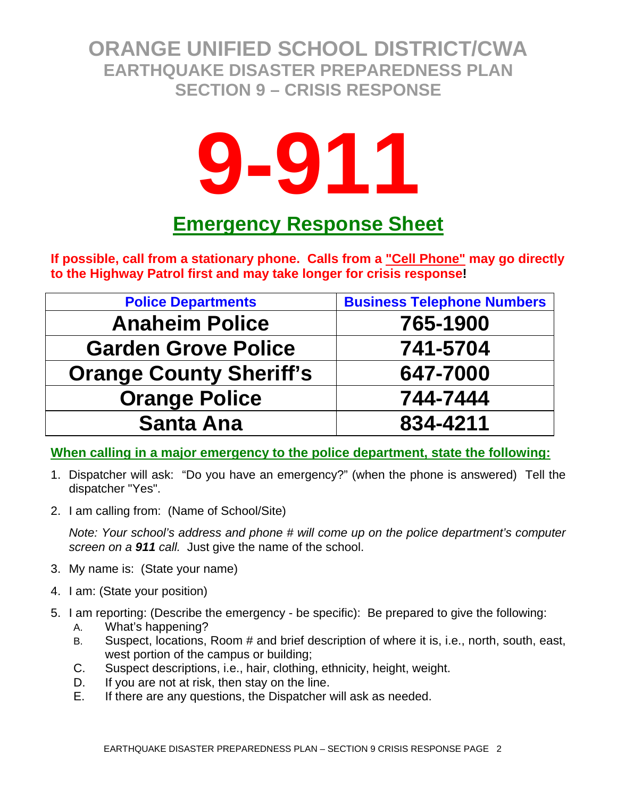

# **Emergency Response Sheet**

**If possible, call from a stationary phone. Calls from a "Cell Phone" may go directly to the Highway Patrol first and may take longer for crisis response!**

| <b>Police Departments</b>      | <b>Business Telephone Numbers</b> |  |
|--------------------------------|-----------------------------------|--|
| <b>Anaheim Police</b>          | 765-1900                          |  |
| <b>Garden Grove Police</b>     | 741-5704                          |  |
| <b>Orange County Sheriff's</b> | 647-7000                          |  |
| <b>Orange Police</b>           | 744-7444                          |  |
| <b>Santa Ana</b>               | 834-4211                          |  |

#### **When calling in a major emergency to the police department, state the following:**

- 1. Dispatcher will ask: "Do you have an emergency?" (when the phone is answered) Tell the dispatcher "Yes".
- 2. I am calling from: (Name of School/Site)

*Note: Your school's address and phone # will come up on the police department's computer screen on a 911 call.* Just give the name of the school.

- 3. My name is: (State your name)
- 4. I am: (State your position)
- 5. I am reporting: (Describe the emergency be specific): Be prepared to give the following:
	- A. What's happening?
	- B. Suspect, locations, Room # and brief description of where it is, i.e., north, south, east, west portion of the campus or building;
	- C. Suspect descriptions, i.e., hair, clothing, ethnicity, height, weight.
	- D. If you are not at risk, then stay on the line.
	- E. If there are any questions, the Dispatcher will ask as needed.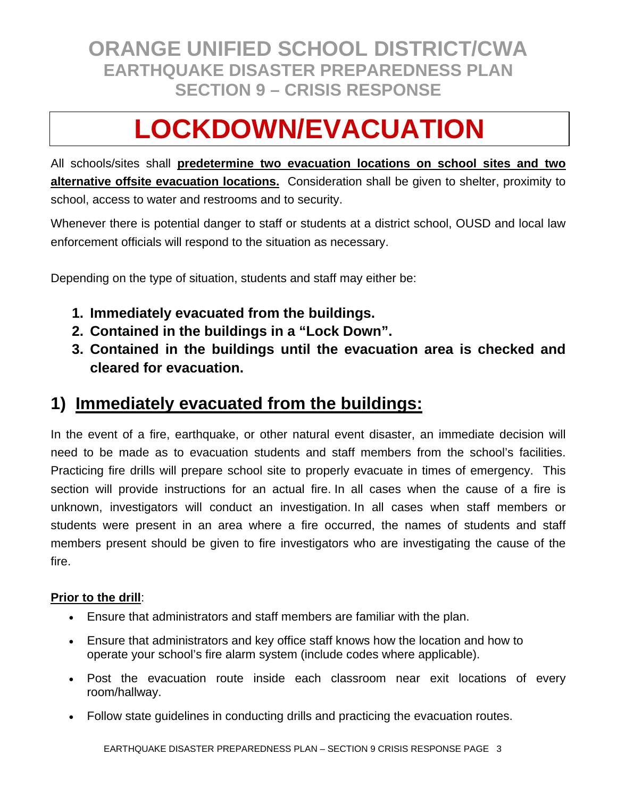# **LOCKDOWN/EVACUATION**

All schools/sites shall **predetermine two evacuation locations on school sites and two alternative offsite evacuation locations.** Consideration shall be given to shelter, proximity to school, access to water and restrooms and to security.

Whenever there is potential danger to staff or students at a district school, OUSD and local law enforcement officials will respond to the situation as necessary.

Depending on the type of situation, students and staff may either be:

- **1. Immediately evacuated from the buildings.**
- **2. Contained in the buildings in a "Lock Down".**
- **3. Contained in the buildings until the evacuation area is checked and cleared for evacuation.**

### **1) Immediately evacuated from the buildings:**

In the event of a fire, earthquake, or other natural event disaster, an immediate decision will need to be made as to evacuation students and staff members from the school's facilities. Practicing fire drills will prepare school site to properly evacuate in times of emergency. This section will provide instructions for an actual fire. In all cases when the cause of a fire is unknown, investigators will conduct an investigation. In all cases when staff members or students were present in an area where a fire occurred, the names of students and staff members present should be given to fire investigators who are investigating the cause of the fire.

#### **Prior to the drill**:

- Ensure that administrators and staff members are familiar with the plan.
- Ensure that administrators and key office staff knows how the location and how to operate your school's fire alarm system (include codes where applicable).
- Post the evacuation route inside each classroom near exit locations of every room/hallway.
- Follow state guidelines in conducting drills and practicing the evacuation routes.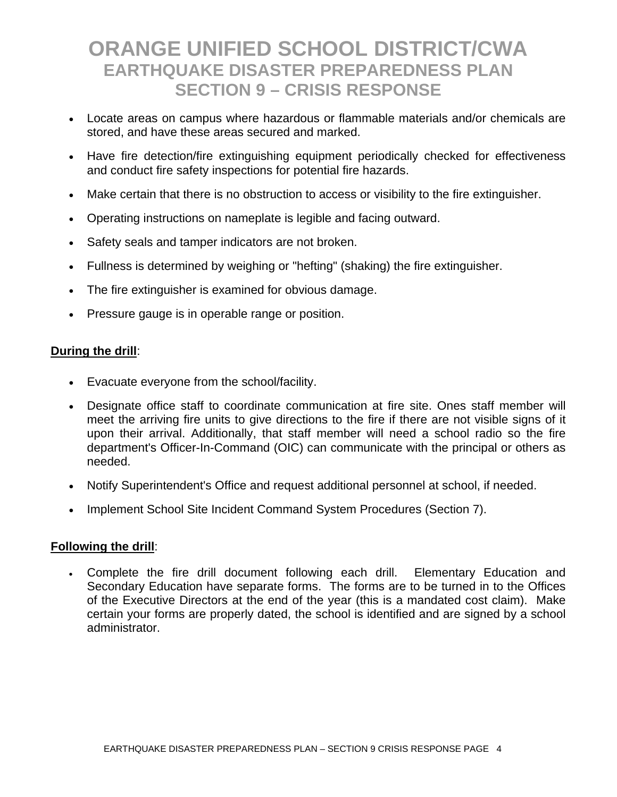- Locate areas on campus where hazardous or flammable materials and/or chemicals are stored, and have these areas secured and marked.
- Have fire detection/fire extinguishing equipment periodically checked for effectiveness and conduct fire safety inspections for potential fire hazards.
- Make certain that there is no obstruction to access or visibility to the fire extinguisher.
- Operating instructions on nameplate is legible and facing outward.
- Safety seals and tamper indicators are not broken.
- Fullness is determined by weighing or "hefting" (shaking) the fire extinguisher.
- The fire extinguisher is examined for obvious damage.
- Pressure gauge is in operable range or position.

#### **During the drill**:

- Evacuate everyone from the school/facility.
- Designate office staff to coordinate communication at fire site. Ones staff member will meet the arriving fire units to give directions to the fire if there are not visible signs of it upon their arrival. Additionally, that staff member will need a school radio so the fire department's Officer-In-Command (OIC) can communicate with the principal or others as needed.
- Notify Superintendent's Office and request additional personnel at school, if needed.
- Implement School Site Incident Command System Procedures (Section 7).

#### **Following the drill**:

• Complete the fire drill document following each drill. Elementary Education and Secondary Education have separate forms. The forms are to be turned in to the Offices of the Executive Directors at the end of the year (this is a mandated cost claim). Make certain your forms are properly dated, the school is identified and are signed by a school administrator.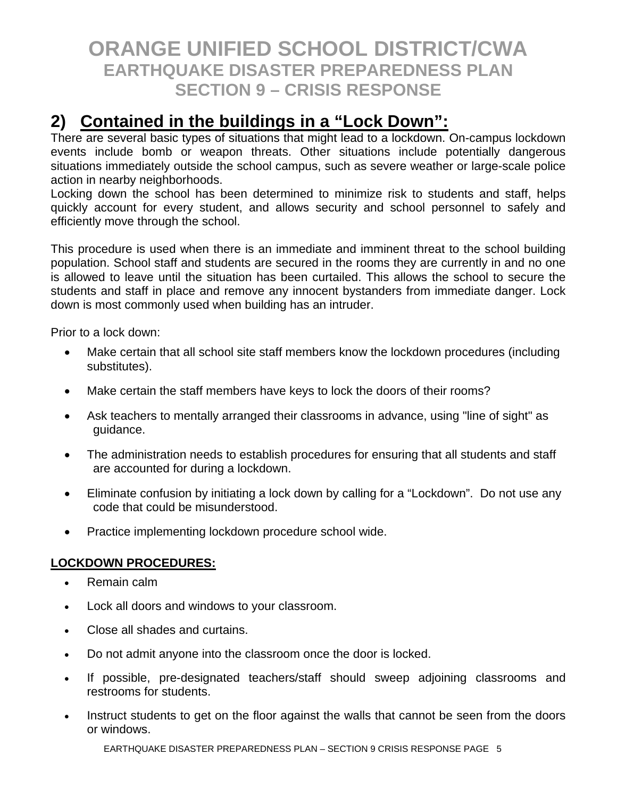#### **2) Contained in the buildings in a "Lock Down":**

There are several basic types of situations that might lead to a lockdown. On-campus lockdown events include bomb or weapon threats. Other situations include potentially dangerous situations immediately outside the school campus, such as severe weather or large-scale police action in nearby neighborhoods.

Locking down the school has been determined to minimize risk to students and staff, helps quickly account for every student, and allows security and school personnel to safely and efficiently move through the school.

This procedure is used when there is an immediate and imminent threat to the school building population. School staff and students are secured in the rooms they are currently in and no one is allowed to leave until the situation has been curtailed. This allows the school to secure the students and staff in place and remove any innocent bystanders from immediate danger. Lock down is most commonly used when building has an intruder.

Prior to a lock down:

- Make certain that all school site staff members know the lockdown procedures (including substitutes).
- Make certain the staff members have keys to lock the doors of their rooms?
- Ask teachers to mentally arranged their classrooms in advance, using "line of sight" as guidance.
- The administration needs to establish procedures for ensuring that all students and staff are accounted for during a lockdown.
- Eliminate confusion by initiating a lock down by calling for a "Lockdown". Do not use any code that could be misunderstood.
- Practice implementing lockdown procedure school wide.

#### **LOCKDOWN PROCEDURES:**

- Remain calm
- Lock all doors and windows to your classroom.
- Close all shades and curtains.
- Do not admit anyone into the classroom once the door is locked.
- If possible, pre-designated teachers/staff should sweep adjoining classrooms and restrooms for students.
- Instruct students to get on the floor against the walls that cannot be seen from the doors or windows.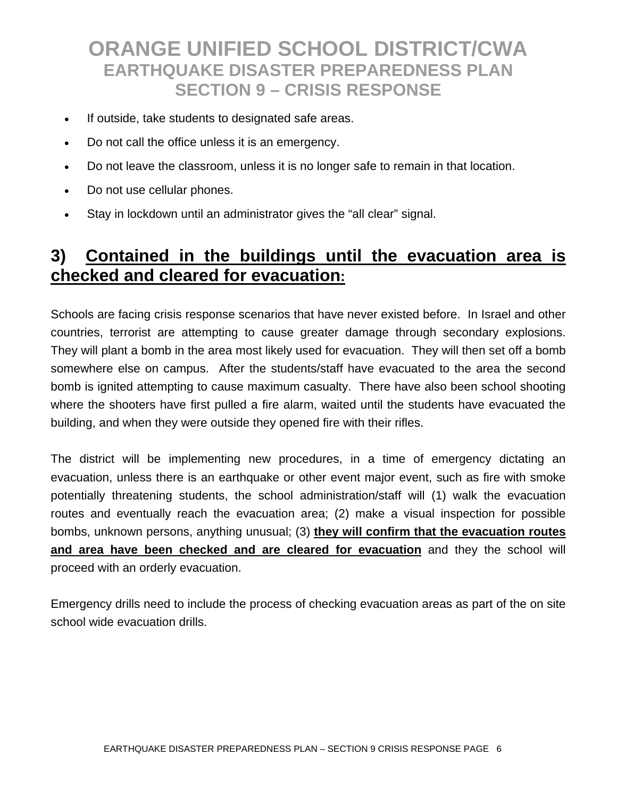- If outside, take students to designated safe areas.
- Do not call the office unless it is an emergency.
- Do not leave the classroom, unless it is no longer safe to remain in that location.
- Do not use cellular phones.
- Stay in lockdown until an administrator gives the "all clear" signal.

#### **3) Contained in the buildings until the evacuation area is checked and cleared for evacuation:**

Schools are facing crisis response scenarios that have never existed before. In Israel and other countries, terrorist are attempting to cause greater damage through secondary explosions. They will plant a bomb in the area most likely used for evacuation. They will then set off a bomb somewhere else on campus. After the students/staff have evacuated to the area the second bomb is ignited attempting to cause maximum casualty. There have also been school shooting where the shooters have first pulled a fire alarm, waited until the students have evacuated the building, and when they were outside they opened fire with their rifles.

The district will be implementing new procedures, in a time of emergency dictating an evacuation, unless there is an earthquake or other event major event, such as fire with smoke potentially threatening students, the school administration/staff will (1) walk the evacuation routes and eventually reach the evacuation area; (2) make a visual inspection for possible bombs, unknown persons, anything unusual; (3) **they will confirm that the evacuation routes and area have been checked and are cleared for evacuation** and they the school will proceed with an orderly evacuation.

Emergency drills need to include the process of checking evacuation areas as part of the on site school wide evacuation drills.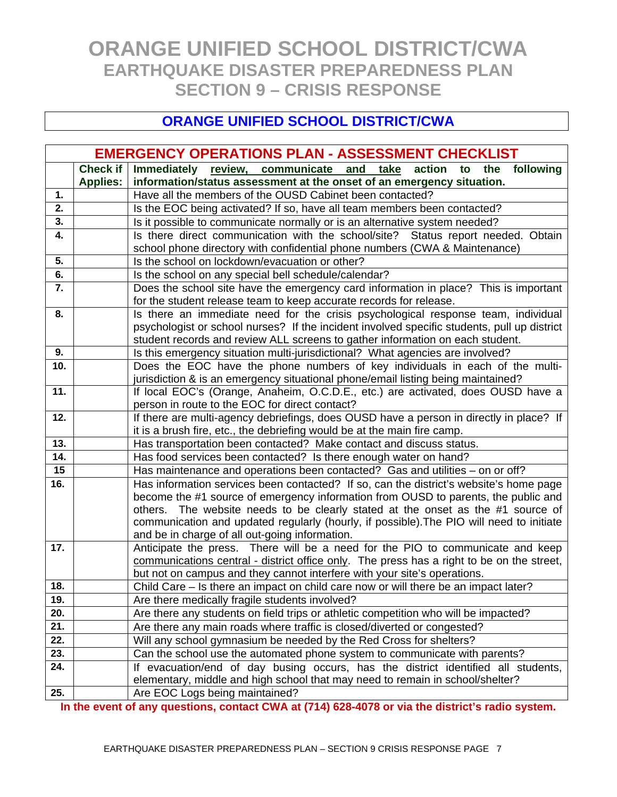#### **ORANGE UNIFIED SCHOOL DISTRICT/CWA**

|           | <b>EMERGENCY OPERATIONS PLAN - ASSESSMENT CHECKLIST</b> |                                                                                                                                                                             |  |  |
|-----------|---------------------------------------------------------|-----------------------------------------------------------------------------------------------------------------------------------------------------------------------------|--|--|
|           | <b>Check if</b>                                         | action<br>following<br><b>Immediately</b><br>review,<br>communicate<br>take<br>the<br>and<br>to                                                                             |  |  |
|           | <b>Applies:</b>                                         | information/status assessment at the onset of an emergency situation.                                                                                                       |  |  |
| 1.        |                                                         | Have all the members of the OUSD Cabinet been contacted?                                                                                                                    |  |  |
| 2.        |                                                         | Is the EOC being activated? If so, have all team members been contacted?                                                                                                    |  |  |
| 3.        |                                                         | Is it possible to communicate normally or is an alternative system needed?                                                                                                  |  |  |
| 4.        |                                                         | Is there direct communication with the school/site? Status report needed. Obtain                                                                                            |  |  |
|           |                                                         | school phone directory with confidential phone numbers (CWA & Maintenance)                                                                                                  |  |  |
| 5.        |                                                         | Is the school on lockdown/evacuation or other?                                                                                                                              |  |  |
| 6.        |                                                         | Is the school on any special bell schedule/calendar?                                                                                                                        |  |  |
| 7.        |                                                         | Does the school site have the emergency card information in place? This is important                                                                                        |  |  |
|           |                                                         | for the student release team to keep accurate records for release.                                                                                                          |  |  |
| 8.        |                                                         | Is there an immediate need for the crisis psychological response team, individual                                                                                           |  |  |
|           |                                                         | psychologist or school nurses? If the incident involved specific students, pull up district                                                                                 |  |  |
|           |                                                         | student records and review ALL screens to gather information on each student.                                                                                               |  |  |
| 9.        |                                                         | Is this emergency situation multi-jurisdictional? What agencies are involved?                                                                                               |  |  |
| 10.       |                                                         | Does the EOC have the phone numbers of key individuals in each of the multi-                                                                                                |  |  |
|           |                                                         | jurisdiction & is an emergency situational phone/email listing being maintained?                                                                                            |  |  |
| 11.       |                                                         | If local EOC's (Orange, Anaheim, O.C.D.E., etc.) are activated, does OUSD have a                                                                                            |  |  |
|           |                                                         | person in route to the EOC for direct contact?                                                                                                                              |  |  |
| 12.       |                                                         | If there are multi-agency debriefings, does OUSD have a person in directly in place? If                                                                                     |  |  |
| 13.       |                                                         | it is a brush fire, etc., the debriefing would be at the main fire camp.                                                                                                    |  |  |
| 14.       |                                                         | Has transportation been contacted? Make contact and discuss status.                                                                                                         |  |  |
|           |                                                         | Has food services been contacted? Is there enough water on hand?                                                                                                            |  |  |
| 15<br>16. |                                                         | Has maintenance and operations been contacted? Gas and utilities – on or off?                                                                                               |  |  |
|           |                                                         | Has information services been contacted? If so, can the district's website's home page                                                                                      |  |  |
|           |                                                         | become the #1 source of emergency information from OUSD to parents, the public and                                                                                          |  |  |
|           |                                                         | others. The website needs to be clearly stated at the onset as the #1 source of<br>communication and updated regularly (hourly, if possible). The PIO will need to initiate |  |  |
|           |                                                         | and be in charge of all out-going information.                                                                                                                              |  |  |
| 17.       |                                                         | Anticipate the press. There will be a need for the PIO to communicate and keep                                                                                              |  |  |
|           |                                                         | communications central - district office only. The press has a right to be on the street,                                                                                   |  |  |
|           |                                                         | but not on campus and they cannot interfere with your site's operations.                                                                                                    |  |  |
| 18.       |                                                         | Child Care - Is there an impact on child care now or will there be an impact later?                                                                                         |  |  |
| 19.       |                                                         | Are there medically fragile students involved?                                                                                                                              |  |  |
| 20.       |                                                         | Are there any students on field trips or athletic competition who will be impacted?                                                                                         |  |  |
| 21.       |                                                         | Are there any main roads where traffic is closed/diverted or congested?                                                                                                     |  |  |
| 22.       |                                                         | Will any school gymnasium be needed by the Red Cross for shelters?                                                                                                          |  |  |
| 23.       |                                                         | Can the school use the automated phone system to communicate with parents?                                                                                                  |  |  |
| 24.       |                                                         | If evacuation/end of day busing occurs, has the district identified all students,                                                                                           |  |  |
|           |                                                         | elementary, middle and high school that may need to remain in school/shelter?                                                                                               |  |  |
| 25.       |                                                         | Are EOC Logs being maintained?                                                                                                                                              |  |  |

**In the event of any questions, contact CWA at (714) 628-4078 or via the district's radio system.**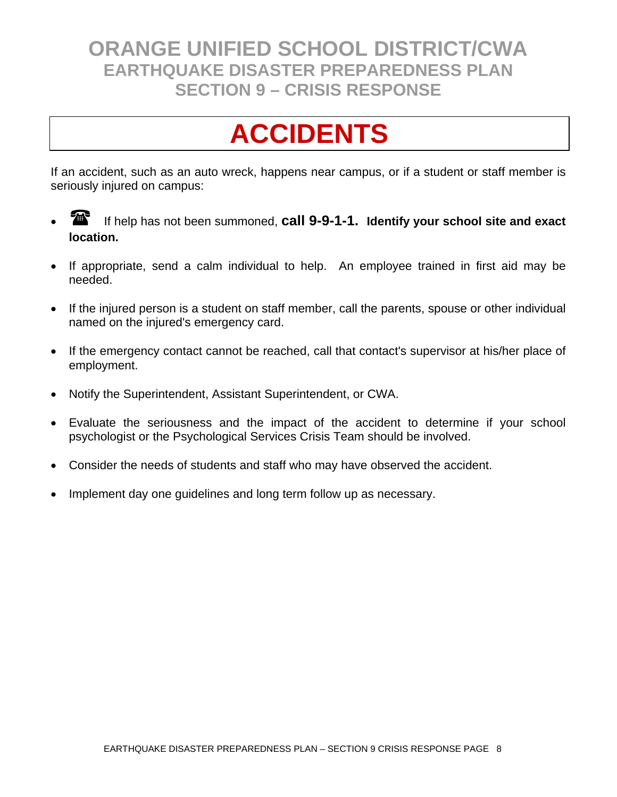# **ACCIDENTS**

If an accident, such as an auto wreck, happens near campus, or if a student or staff member is seriously injured on campus:

- If help has not been summoned, **call 9-9-1-1. Identify your school site and exact location.**
- If appropriate, send a calm individual to help. An employee trained in first aid may be needed.
- If the injured person is a student on staff member, call the parents, spouse or other individual named on the injured's emergency card.
- If the emergency contact cannot be reached, call that contact's supervisor at his/her place of employment.
- Notify the Superintendent, Assistant Superintendent, or CWA.
- Evaluate the seriousness and the impact of the accident to determine if your school psychologist or the Psychological Services Crisis Team should be involved.
- Consider the needs of students and staff who may have observed the accident.
- Implement day one guidelines and long term follow up as necessary.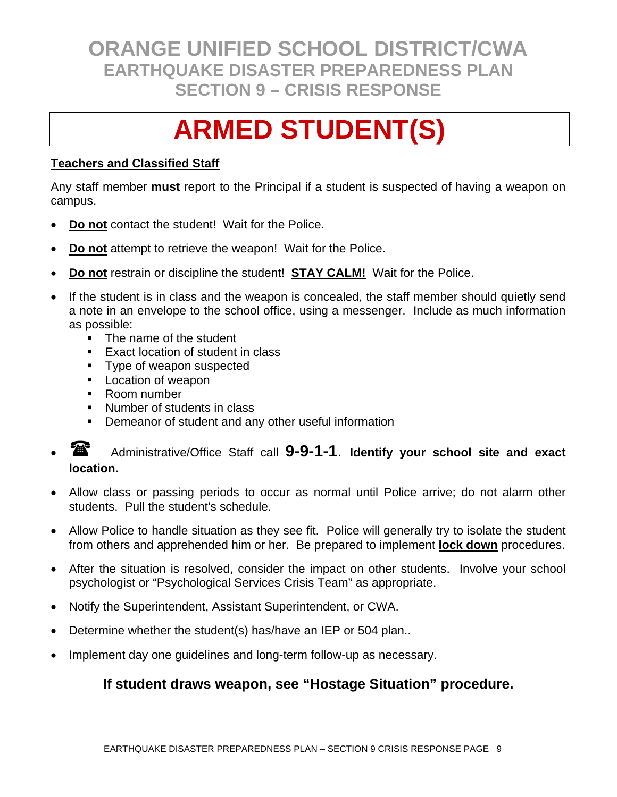# **ARMED STUDENT(S)**

#### **Teachers and Classified Staff**

Any staff member **must** report to the Principal if a student is suspected of having a weapon on campus.

- **Do not** contact the student! Wait for the Police.
- **Do not** attempt to retrieve the weapon! Wait for the Police.
- **Do not** restrain or discipline the student! **STAY CALM!** Wait for the Police.
- If the student is in class and the weapon is concealed, the staff member should quietly send a note in an envelope to the school office, using a messenger. Include as much information as possible:
	- The name of the student
	- Exact location of student in class
	- Type of weapon suspected
	- **Location of weapon**
	- Room number
	- Number of students in class
	- **•** Demeanor of student and any other useful information
- Administrative/Office Staff call **9-9-1-1**. **Identify your school site and exact location.**
- Allow class or passing periods to occur as normal until Police arrive; do not alarm other students. Pull the student's schedule.
- Allow Police to handle situation as they see fit. Police will generally try to isolate the student from others and apprehended him or her. Be prepared to implement **lock down** procedures.
- After the situation is resolved, consider the impact on other students. Involve your school psychologist or "Psychological Services Crisis Team" as appropriate.
- Notify the Superintendent, Assistant Superintendent, or CWA.
- Determine whether the student(s) has/have an IEP or 504 plan..
- Implement day one guidelines and long-term follow-up as necessary.

#### **If student draws weapon, see "Hostage Situation" procedure.**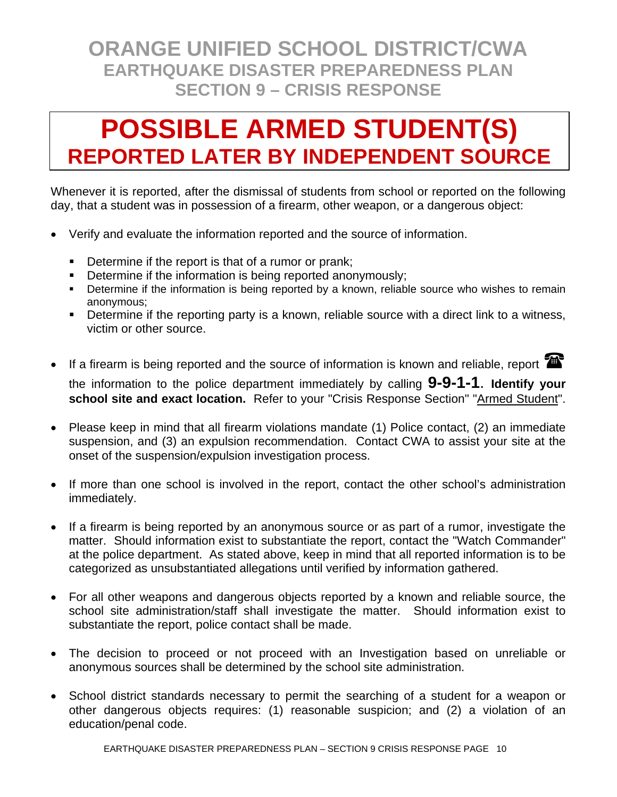# **POSSIBLE ARMED STUDENT(S) REPORTED LATER BY INDEPENDENT SOURCE**

Whenever it is reported, after the dismissal of students from school or reported on the following day, that a student was in possession of a firearm, other weapon, or a dangerous object:

- Verify and evaluate the information reported and the source of information.
	- Determine if the report is that of a rumor or prank;
	- Determine if the information is being reported anonymously;
	- **•** Determine if the information is being reported by a known, reliable source who wishes to remain anonymous;
	- **Determine if the reporting party is a known, reliable source with a direct link to a witness,** victim or other source.
- If a firearm is being reported and the source of information is known and reliable, report the information to the police department immediately by calling **9-9-1-1**. **Identify your school site and exact location.** Refer to your "Crisis Response Section" "Armed Student".
- Please keep in mind that all firearm violations mandate (1) Police contact, (2) an immediate suspension, and (3) an expulsion recommendation. Contact CWA to assist your site at the onset of the suspension/expulsion investigation process.
- If more than one school is involved in the report, contact the other school's administration immediately.
- If a firearm is being reported by an anonymous source or as part of a rumor, investigate the matter. Should information exist to substantiate the report, contact the "Watch Commander" at the police department. As stated above, keep in mind that all reported information is to be categorized as unsubstantiated allegations until verified by information gathered.
- For all other weapons and dangerous objects reported by a known and reliable source, the school site administration/staff shall investigate the matter. Should information exist to substantiate the report, police contact shall be made.
- The decision to proceed or not proceed with an Investigation based on unreliable or anonymous sources shall be determined by the school site administration.
- School district standards necessary to permit the searching of a student for a weapon or other dangerous objects requires: (1) reasonable suspicion; and (2) a violation of an education/penal code.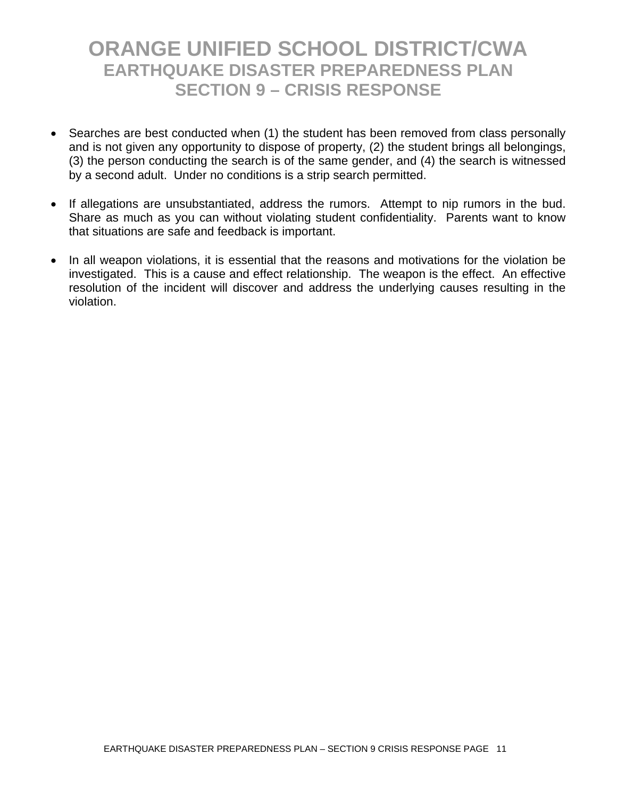- Searches are best conducted when (1) the student has been removed from class personally and is not given any opportunity to dispose of property, (2) the student brings all belongings, (3) the person conducting the search is of the same gender, and (4) the search is witnessed by a second adult. Under no conditions is a strip search permitted.
- If allegations are unsubstantiated, address the rumors. Attempt to nip rumors in the bud. Share as much as you can without violating student confidentiality. Parents want to know that situations are safe and feedback is important.
- In all weapon violations, it is essential that the reasons and motivations for the violation be investigated. This is a cause and effect relationship. The weapon is the effect. An effective resolution of the incident will discover and address the underlying causes resulting in the violation.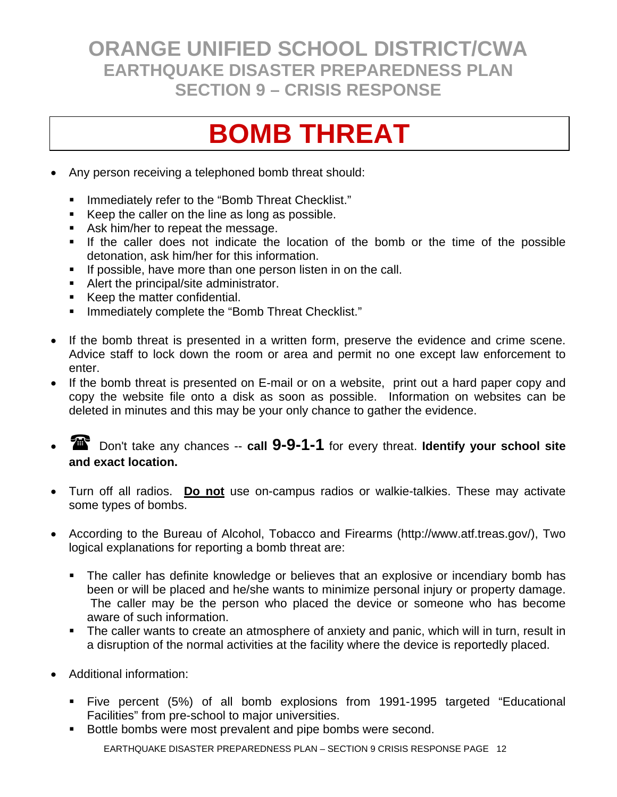# **BOMB THREAT**

- Any person receiving a telephoned bomb threat should:
	- **Immediately refer to the "Bomb Threat Checklist."**
	- Keep the caller on the line as long as possible.
	- Ask him/her to repeat the message.
	- If the caller does not indicate the location of the bomb or the time of the possible detonation, ask him/her for this information.
	- If possible, have more than one person listen in on the call.
	- Alert the principal/site administrator.
	- Keep the matter confidential.
	- **Immediately complete the "Bomb Threat Checklist."**
- If the bomb threat is presented in a written form, preserve the evidence and crime scene. Advice staff to lock down the room or area and permit no one except law enforcement to enter.
- If the bomb threat is presented on E-mail or on a website, print out a hard paper copy and copy the website file onto a disk as soon as possible. Information on websites can be deleted in minutes and this may be your only chance to gather the evidence.
- **<sup>22</sup>** Don't take any chances -- call 9-9-1-1 for every threat. Identify your school site **and exact location.**
- Turn off all radios. **Do not** use on-campus radios or walkie-talkies. These may activate some types of bombs.
- According to the Bureau of Alcohol, Tobacco and Firearms (http://www.atf.treas.gov/), Two logical explanations for reporting a bomb threat are:
	- The caller has definite knowledge or believes that an explosive or incendiary bomb has been or will be placed and he/she wants to minimize personal injury or property damage. The caller may be the person who placed the device or someone who has become aware of such information.
	- The caller wants to create an atmosphere of anxiety and panic, which will in turn, result in a disruption of the normal activities at the facility where the device is reportedly placed.
- Additional information:
	- Five percent (5%) of all bomb explosions from 1991-1995 targeted "Educational Facilities" from pre-school to major universities.
	- Bottle bombs were most prevalent and pipe bombs were second.

EARTHQUAKE DISASTER PREPAREDNESS PLAN – SECTION 9 CRISIS RESPONSE PAGE 12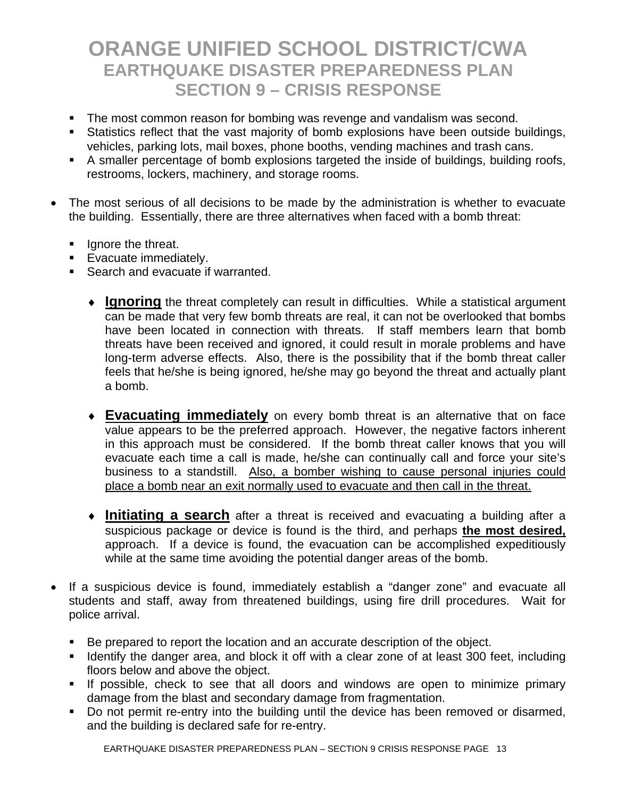- The most common reason for bombing was revenge and vandalism was second.
- Statistics reflect that the vast majority of bomb explosions have been outside buildings, vehicles, parking lots, mail boxes, phone booths, vending machines and trash cans.
- A smaller percentage of bomb explosions targeted the inside of buildings, building roofs, restrooms, lockers, machinery, and storage rooms.
- The most serious of all decisions to be made by the administration is whether to evacuate the building. Essentially, there are three alternatives when faced with a bomb threat:
	- **Ignore the threat.**
	- **Evacuate immediately.**
	- Search and evacuate if warranted.
		- ♦ **Ignoring** the threat completely can result in difficulties. While a statistical argument can be made that very few bomb threats are real, it can not be overlooked that bombs have been located in connection with threats. If staff members learn that bomb threats have been received and ignored, it could result in morale problems and have long-term adverse effects. Also, there is the possibility that if the bomb threat caller feels that he/she is being ignored, he/she may go beyond the threat and actually plant a bomb.
		- ♦ **Evacuating immediately** on every bomb threat is an alternative that on face value appears to be the preferred approach. However, the negative factors inherent in this approach must be considered. If the bomb threat caller knows that you will evacuate each time a call is made, he/she can continually call and force your site's business to a standstill. Also, a bomber wishing to cause personal injuries could place a bomb near an exit normally used to evacuate and then call in the threat.
		- ♦ **Initiating a search** after a threat is received and evacuating a building after a suspicious package or device is found is the third, and perhaps **the most desired,** approach. If a device is found, the evacuation can be accomplished expeditiously while at the same time avoiding the potential danger areas of the bomb.
- If a suspicious device is found, immediately establish a "danger zone" and evacuate all students and staff, away from threatened buildings, using fire drill procedures. Wait for police arrival.
	- Be prepared to report the location and an accurate description of the object.
	- **If Identify the danger area, and block it off with a clear zone of at least 300 feet, including** floors below and above the object.
	- If possible, check to see that all doors and windows are open to minimize primary damage from the blast and secondary damage from fragmentation.
	- Do not permit re-entry into the building until the device has been removed or disarmed, and the building is declared safe for re-entry.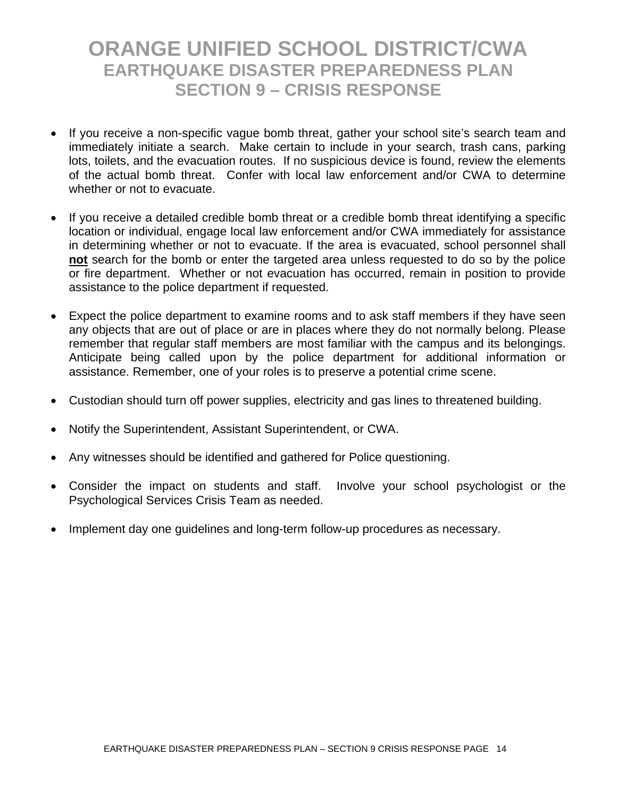- If you receive a non-specific vague bomb threat, gather your school site's search team and immediately initiate a search. Make certain to include in your search, trash cans, parking lots, toilets, and the evacuation routes. If no suspicious device is found, review the elements of the actual bomb threat. Confer with local law enforcement and/or CWA to determine whether or not to evacuate.
- If you receive a detailed credible bomb threat or a credible bomb threat identifying a specific location or individual, engage local law enforcement and/or CWA immediately for assistance in determining whether or not to evacuate. If the area is evacuated, school personnel shall **not** search for the bomb or enter the targeted area unless requested to do so by the police or fire department. Whether or not evacuation has occurred, remain in position to provide assistance to the police department if requested.
- Expect the police department to examine rooms and to ask staff members if they have seen any objects that are out of place or are in places where they do not normally belong. Please remember that regular staff members are most familiar with the campus and its belongings. Anticipate being called upon by the police department for additional information or assistance. Remember, one of your roles is to preserve a potential crime scene.
- Custodian should turn off power supplies, electricity and gas lines to threatened building.
- Notify the Superintendent, Assistant Superintendent, or CWA.
- Any witnesses should be identified and gathered for Police questioning.
- Consider the impact on students and staff. Involve your school psychologist or the Psychological Services Crisis Team as needed.
- Implement day one guidelines and long-term follow-up procedures as necessary.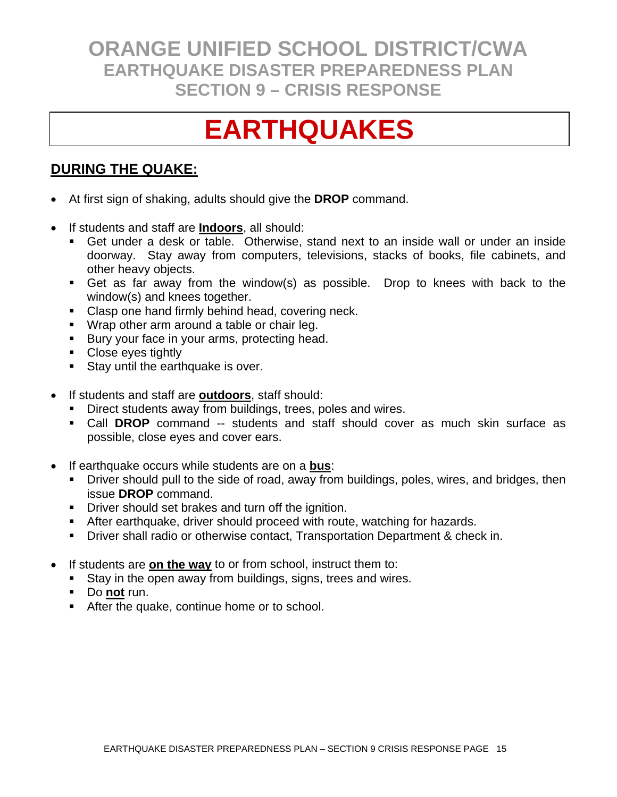# **EARTHQUAKES**

#### **DURING THE QUAKE:**

- At first sign of shaking, adults should give the **DROP** command.
- If students and staff are **Indoors**, all should:
	- Get under a desk or table. Otherwise, stand next to an inside wall or under an inside doorway. Stay away from computers, televisions, stacks of books, file cabinets, and other heavy objects.
	- Get as far away from the window(s) as possible. Drop to knees with back to the window(s) and knees together.
	- **Clasp one hand firmly behind head, covering neck.**
	- **Wrap other arm around a table or chair leg.**
	- Bury your face in your arms, protecting head.
	- Close eyes tightly
	- **Stay until the earthquake is over.**
- If students and staff are **outdoors**, staff should:
	- Direct students away from buildings, trees, poles and wires.
	- Call **DROP** command -- students and staff should cover as much skin surface as possible, close eyes and cover ears.
- If earthquake occurs while students are on a **bus**:
	- **Driver should pull to the side of road, away from buildings, poles, wires, and bridges, then** issue **DROP** command.
	- **Driver should set brakes and turn off the ignition.**
	- After earthquake, driver should proceed with route, watching for hazards.
	- **Driver shall radio or otherwise contact, Transportation Department & check in.**
- If students are **on the way** to or from school, instruct them to:
	- Stay in the open away from buildings, signs, trees and wires.
	- Do **not** run.
	- **After the quake, continue home or to school.**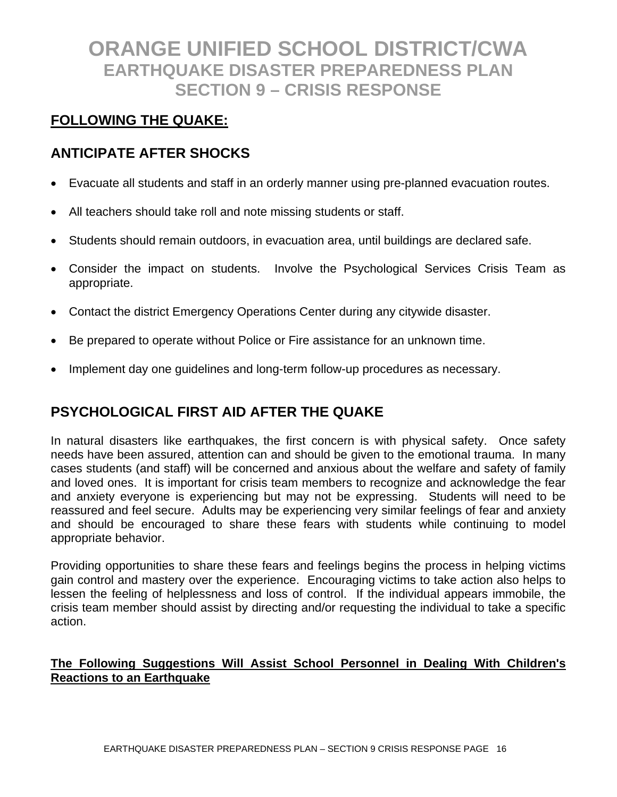#### **FOLLOWING THE QUAKE:**

#### **ANTICIPATE AFTER SHOCKS**

- Evacuate all students and staff in an orderly manner using pre-planned evacuation routes.
- All teachers should take roll and note missing students or staff.
- Students should remain outdoors, in evacuation area, until buildings are declared safe.
- Consider the impact on students. Involve the Psychological Services Crisis Team as appropriate.
- Contact the district Emergency Operations Center during any citywide disaster.
- Be prepared to operate without Police or Fire assistance for an unknown time.
- Implement day one guidelines and long-term follow-up procedures as necessary.

#### **PSYCHOLOGICAL FIRST AID AFTER THE QUAKE**

In natural disasters like earthquakes, the first concern is with physical safety. Once safety needs have been assured, attention can and should be given to the emotional trauma. In many cases students (and staff) will be concerned and anxious about the welfare and safety of family and loved ones. It is important for crisis team members to recognize and acknowledge the fear and anxiety everyone is experiencing but may not be expressing. Students will need to be reassured and feel secure. Adults may be experiencing very similar feelings of fear and anxiety and should be encouraged to share these fears with students while continuing to model appropriate behavior.

Providing opportunities to share these fears and feelings begins the process in helping victims gain control and mastery over the experience. Encouraging victims to take action also helps to lessen the feeling of helplessness and loss of control. If the individual appears immobile, the crisis team member should assist by directing and/or requesting the individual to take a specific action.

#### **The Following Suggestions Will Assist School Personnel in Dealing With Children's Reactions to an Earthquake**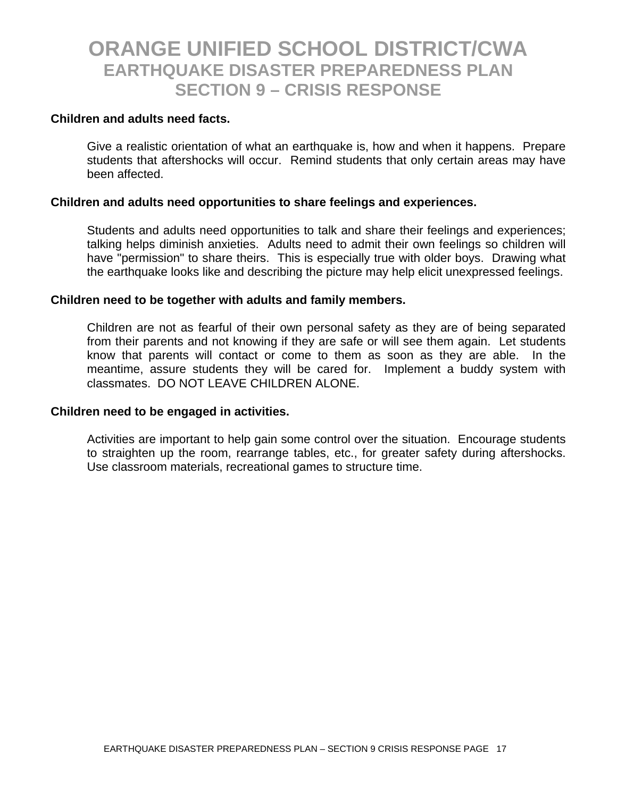#### **Children and adults need facts.**

Give a realistic orientation of what an earthquake is, how and when it happens. Prepare students that aftershocks will occur. Remind students that only certain areas may have been affected.

#### **Children and adults need opportunities to share feelings and experiences.**

Students and adults need opportunities to talk and share their feelings and experiences; talking helps diminish anxieties. Adults need to admit their own feelings so children will have "permission" to share theirs. This is especially true with older boys. Drawing what the earthquake looks like and describing the picture may help elicit unexpressed feelings.

#### **Children need to be together with adults and family members.**

Children are not as fearful of their own personal safety as they are of being separated from their parents and not knowing if they are safe or will see them again. Let students know that parents will contact or come to them as soon as they are able. In the meantime, assure students they will be cared for. Implement a buddy system with classmates. DO NOT LEAVE CHILDREN ALONE.

#### **Children need to be engaged in activities.**

Activities are important to help gain some control over the situation. Encourage students to straighten up the room, rearrange tables, etc., for greater safety during aftershocks. Use classroom materials, recreational games to structure time.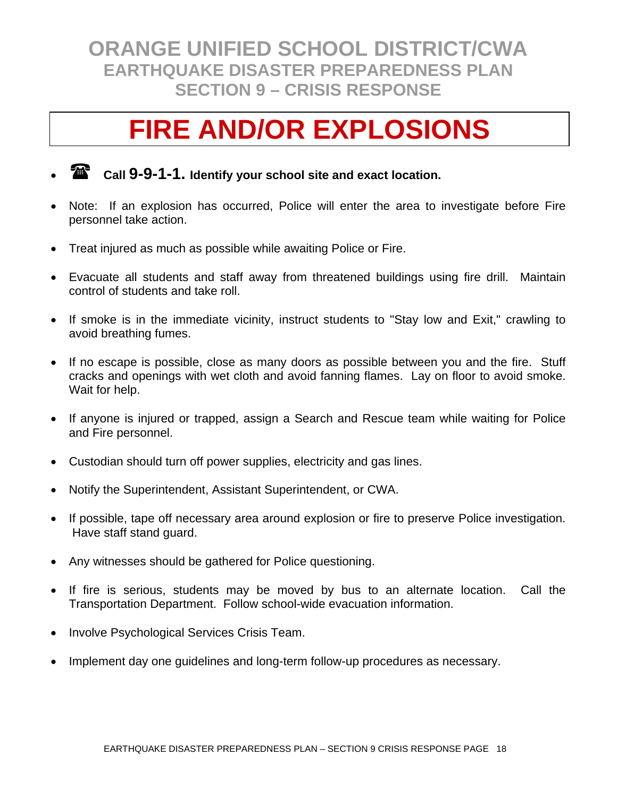# **FIRE AND/OR EXPLOSIONS**

- **Call 9-9-1-1. Identify your school site and exact location.**
- Note: If an explosion has occurred, Police will enter the area to investigate before Fire personnel take action.
- Treat injured as much as possible while awaiting Police or Fire.
- Evacuate all students and staff away from threatened buildings using fire drill. Maintain control of students and take roll.
- If smoke is in the immediate vicinity, instruct students to "Stay low and Exit," crawling to avoid breathing fumes.
- If no escape is possible, close as many doors as possible between you and the fire. Stuff cracks and openings with wet cloth and avoid fanning flames. Lay on floor to avoid smoke. Wait for help.
- If anyone is injured or trapped, assign a Search and Rescue team while waiting for Police and Fire personnel.
- Custodian should turn off power supplies, electricity and gas lines.
- Notify the Superintendent, Assistant Superintendent, or CWA.
- If possible, tape off necessary area around explosion or fire to preserve Police investigation. Have staff stand guard.
- Any witnesses should be gathered for Police questioning.
- If fire is serious, students may be moved by bus to an alternate location. Call the Transportation Department. Follow school-wide evacuation information.
- Involve Psychological Services Crisis Team.
- Implement day one guidelines and long-term follow-up procedures as necessary.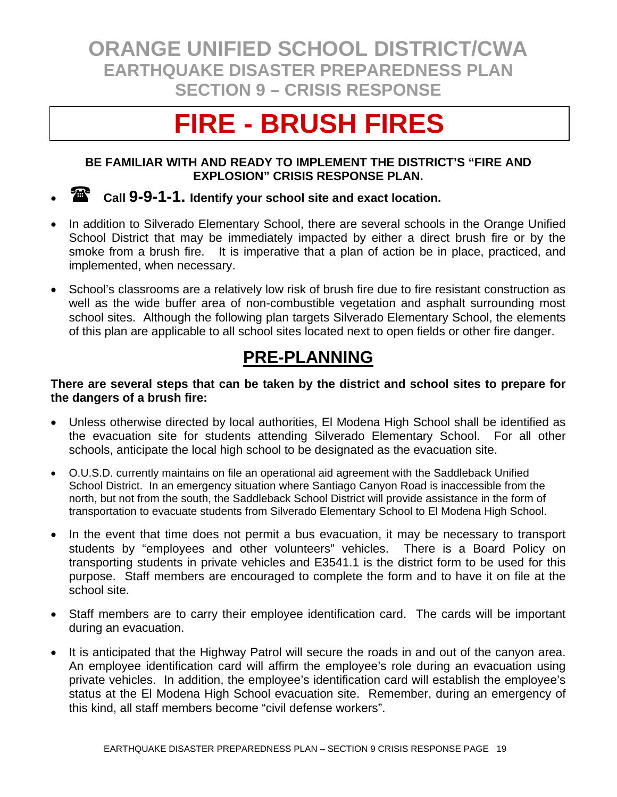# **FIRE - BRUSH FIRES**

#### **BE FAMILIAR WITH AND READY TO IMPLEMENT THE DISTRICT'S "FIRE AND EXPLOSION" CRISIS RESPONSE PLAN.**

#### • **Call 9-9-1-1. Identify your school site and exact location.**

- In addition to Silverado Elementary School, there are several schools in the Orange Unified School District that may be immediately impacted by either a direct brush fire or by the smoke from a brush fire. It is imperative that a plan of action be in place, practiced, and implemented, when necessary.
- School's classrooms are a relatively low risk of brush fire due to fire resistant construction as well as the wide buffer area of non-combustible vegetation and asphalt surrounding most school sites. Although the following plan targets Silverado Elementary School, the elements of this plan are applicable to all school sites located next to open fields or other fire danger.

## **PRE-PLANNING**

#### **There are several steps that can be taken by the district and school sites to prepare for the dangers of a brush fire:**

- Unless otherwise directed by local authorities, El Modena High School shall be identified as the evacuation site for students attending Silverado Elementary School. For all other schools, anticipate the local high school to be designated as the evacuation site.
- O.U.S.D. currently maintains on file an operational aid agreement with the Saddleback Unified School District. In an emergency situation where Santiago Canyon Road is inaccessible from the north, but not from the south, the Saddleback School District will provide assistance in the form of transportation to evacuate students from Silverado Elementary School to El Modena High School.
- In the event that time does not permit a bus evacuation, it may be necessary to transport students by "employees and other volunteers" vehicles. There is a Board Policy on transporting students in private vehicles and E3541.1 is the district form to be used for this purpose. Staff members are encouraged to complete the form and to have it on file at the school site.
- Staff members are to carry their employee identification card. The cards will be important during an evacuation.
- It is anticipated that the Highway Patrol will secure the roads in and out of the canyon area. An employee identification card will affirm the employee's role during an evacuation using private vehicles. In addition, the employee's identification card will establish the employee's status at the El Modena High School evacuation site. Remember, during an emergency of this kind, all staff members become "civil defense workers".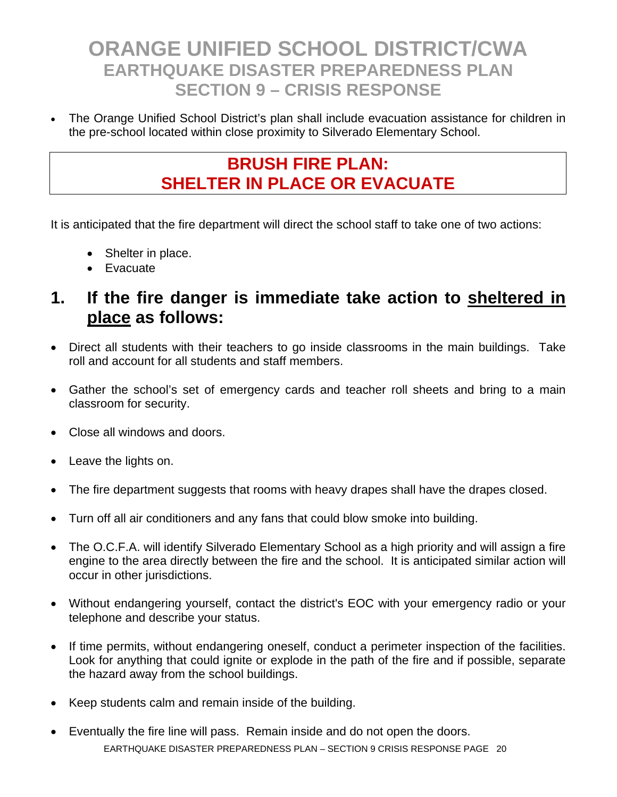• The Orange Unified School District's plan shall include evacuation assistance for children in the pre-school located within close proximity to Silverado Elementary School.

#### **BRUSH FIRE PLAN: SHELTER IN PLACE OR EVACUATE**

It is anticipated that the fire department will direct the school staff to take one of two actions:

- Shelter in place.
- Evacuate

#### **1. If the fire danger is immediate take action to sheltered in place as follows:**

- Direct all students with their teachers to go inside classrooms in the main buildings. Take roll and account for all students and staff members.
- Gather the school's set of emergency cards and teacher roll sheets and bring to a main classroom for security.
- Close all windows and doors.
- Leave the lights on.
- The fire department suggests that rooms with heavy drapes shall have the drapes closed.
- Turn off all air conditioners and any fans that could blow smoke into building.
- The O.C.F.A. will identify Silverado Elementary School as a high priority and will assign a fire engine to the area directly between the fire and the school. It is anticipated similar action will occur in other jurisdictions.
- Without endangering yourself, contact the district's EOC with your emergency radio or your telephone and describe your status.
- If time permits, without endangering oneself, conduct a perimeter inspection of the facilities. Look for anything that could ignite or explode in the path of the fire and if possible, separate the hazard away from the school buildings.
- Keep students calm and remain inside of the building.
- EARTHQUAKE DISASTER PREPAREDNESS PLAN SECTION 9 CRISIS RESPONSE PAGE 20 • Eventually the fire line will pass. Remain inside and do not open the doors.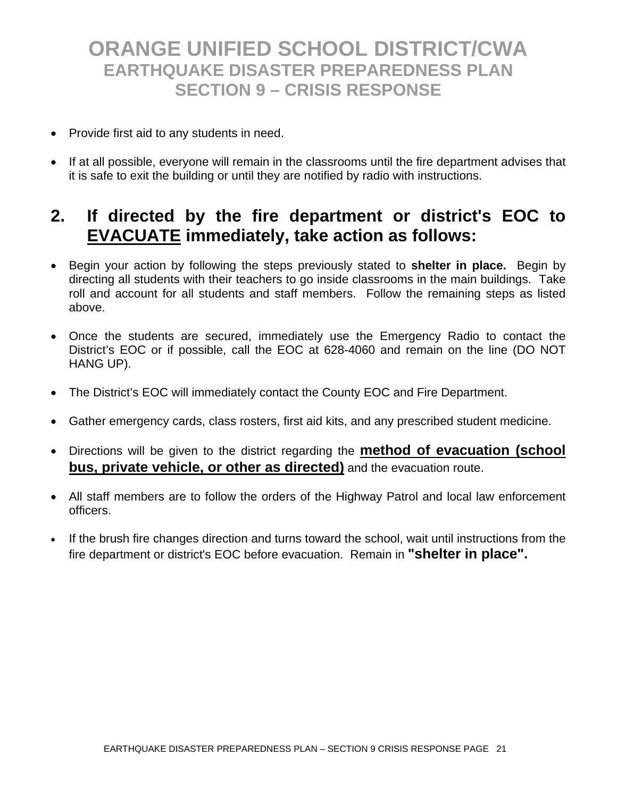- Provide first aid to any students in need.
- If at all possible, everyone will remain in the classrooms until the fire department advises that it is safe to exit the building or until they are notified by radio with instructions.

### **2. If directed by the fire department or district's EOC to EVACUATE immediately, take action as follows:**

- Begin your action by following the steps previously stated to **shelter in place.** Begin by directing all students with their teachers to go inside classrooms in the main buildings. Take roll and account for all students and staff members. Follow the remaining steps as listed above.
- Once the students are secured, immediately use the Emergency Radio to contact the District's EOC or if possible, call the EOC at 628-4060 and remain on the line (DO NOT HANG UP).
- The District's EOC will immediately contact the County EOC and Fire Department.
- Gather emergency cards, class rosters, first aid kits, and any prescribed student medicine.
- Directions will be given to the district regarding the **method of evacuation (school bus, private vehicle, or other as directed)** and the evacuation route.
- All staff members are to follow the orders of the Highway Patrol and local law enforcement officers.
- If the brush fire changes direction and turns toward the school, wait until instructions from the fire department or district's EOC before evacuation. Remain in **"shelter in place".**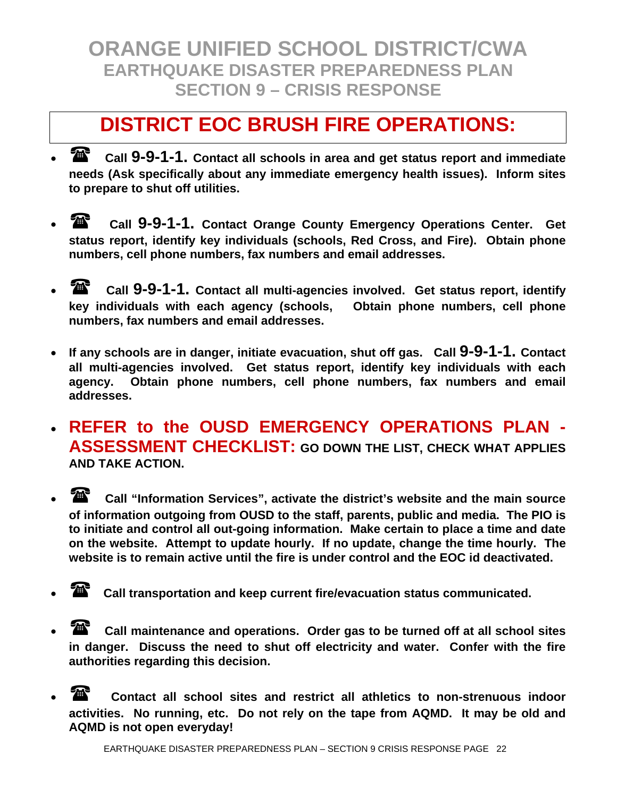# **DISTRICT EOC BRUSH FIRE OPERATIONS:**

- **Call 9-9-1-1. Contact all schools in area and get status report and immediate needs (Ask specifically about any immediate emergency health issues). Inform sites to prepare to shut off utilities.**
- **Call 9-9-1-1. Contact Orange County Emergency Operations Center. Get status report, identify key individuals (schools, Red Cross, and Fire). Obtain phone numbers, cell phone numbers, fax numbers and email addresses.**
- **<sup>28</sup>** Call 9-9-1-1. Contact all multi-agencies involved. Get status report, identify **key individuals with each agency (schools, Obtain phone numbers, cell phone numbers, fax numbers and email addresses.**
- **If any schools are in danger, initiate evacuation, shut off gas. Call 9-9-1-1. Contact all multi-agencies involved. Get status report, identify key individuals with each agency. Obtain phone numbers, cell phone numbers, fax numbers and email addresses.**
- **REFER to the OUSD EMERGENCY OPERATIONS PLAN ASSESSMENT CHECKLIST: GO DOWN THE LIST, CHECK WHAT APPLIES AND TAKE ACTION.**
- **Call "Information Services", activate the district's website and the main source of information outgoing from OUSD to the staff, parents, public and media. The PIO is to initiate and control all out-going information. Make certain to place a time and date on the website. Attempt to update hourly. If no update, change the time hourly. The website is to remain active until the fire is under control and the EOC id deactivated.**
- **Call transportation and keep current fire/evacuation status communicated.**
- **Call maintenance and operations. Order gas to be turned off at all school sites in danger. Discuss the need to shut off electricity and water. Confer with the fire authorities regarding this decision.**
- **Contact all school sites and restrict all athletics to non-strenuous indoor activities. No running, etc. Do not rely on the tape from AQMD. It may be old and AQMD is not open everyday!**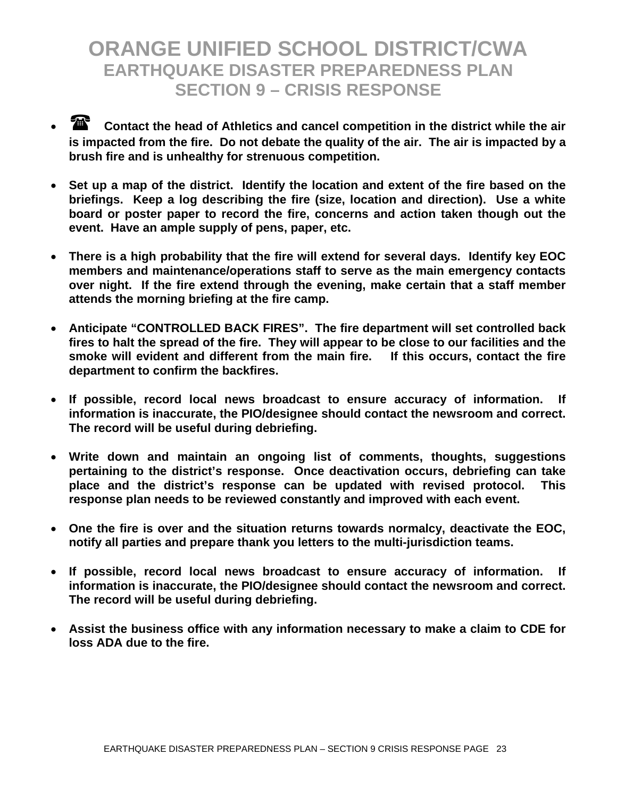- **Contact the head of Athletics and cancel competition in the district while the air is impacted from the fire. Do not debate the quality of the air. The air is impacted by a brush fire and is unhealthy for strenuous competition.**
- **Set up a map of the district. Identify the location and extent of the fire based on the briefings. Keep a log describing the fire (size, location and direction). Use a white board or poster paper to record the fire, concerns and action taken though out the event. Have an ample supply of pens, paper, etc.**
- **There is a high probability that the fire will extend for several days. Identify key EOC members and maintenance/operations staff to serve as the main emergency contacts over night. If the fire extend through the evening, make certain that a staff member attends the morning briefing at the fire camp.**
- **Anticipate "CONTROLLED BACK FIRES". The fire department will set controlled back fires to halt the spread of the fire. They will appear to be close to our facilities and the smoke will evident and different from the main fire. If this occurs, contact the fire department to confirm the backfires.**
- **If possible, record local news broadcast to ensure accuracy of information. If information is inaccurate, the PIO/designee should contact the newsroom and correct. The record will be useful during debriefing.**
- **Write down and maintain an ongoing list of comments, thoughts, suggestions pertaining to the district's response. Once deactivation occurs, debriefing can take place and the district's response can be updated with revised protocol. This response plan needs to be reviewed constantly and improved with each event.**
- **One the fire is over and the situation returns towards normalcy, deactivate the EOC, notify all parties and prepare thank you letters to the multi-jurisdiction teams.**
- **If possible, record local news broadcast to ensure accuracy of information. If information is inaccurate, the PIO/designee should contact the newsroom and correct. The record will be useful during debriefing.**
- **Assist the business office with any information necessary to make a claim to CDE for loss ADA due to the fire.**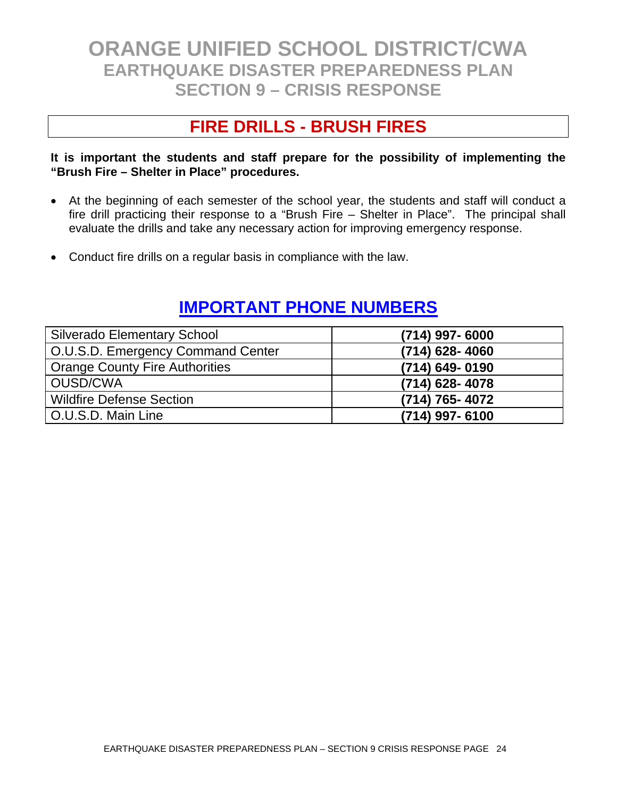#### **FIRE DRILLS - BRUSH FIRES**

#### **It is important the students and staff prepare for the possibility of implementing the "Brush Fire – Shelter in Place" procedures.**

- At the beginning of each semester of the school year, the students and staff will conduct a fire drill practicing their response to a "Brush Fire – Shelter in Place". The principal shall evaluate the drills and take any necessary action for improving emergency response.
- Conduct fire drills on a regular basis in compliance with the law.

### **IMPORTANT PHONE NUMBERS**

| <b>Silverado Elementary School</b>    | $(714)$ 997-6000 |
|---------------------------------------|------------------|
| O.U.S.D. Emergency Command Center     | $(714)$ 628-4060 |
| <b>Orange County Fire Authorities</b> | (714) 649-0190   |
| OUSD/CWA                              | (714) 628-4078   |
| <b>Wildfire Defense Section</b>       | (714) 765-4072   |
| O.U.S.D. Main Line                    | (714) 997-6100   |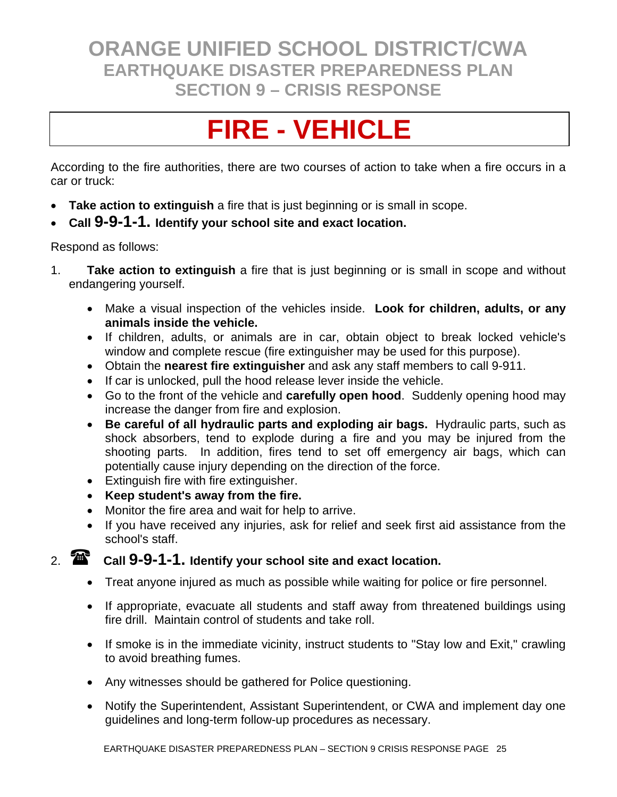# **FIRE - VEHICLE**

According to the fire authorities, there are two courses of action to take when a fire occurs in a car or truck:

- **Take action to extinguish** a fire that is just beginning or is small in scope.
- **Call 9-9-1-1. Identify your school site and exact location.**

Respond as follows:

- 1. **Take action to extinguish** a fire that is just beginning or is small in scope and without endangering yourself.
	- Make a visual inspection of the vehicles inside. **Look for children, adults, or any animals inside the vehicle.**
	- If children, adults, or animals are in car, obtain object to break locked vehicle's window and complete rescue (fire extinguisher may be used for this purpose).
	- Obtain the **nearest fire extinguisher** and ask any staff members to call 9-911.
	- If car is unlocked, pull the hood release lever inside the vehicle.
	- Go to the front of the vehicle and **carefully open hood**. Suddenly opening hood may increase the danger from fire and explosion.
	- **Be careful of all hydraulic parts and exploding air bags.** Hydraulic parts, such as shock absorbers, tend to explode during a fire and you may be injured from the shooting parts. In addition, fires tend to set off emergency air bags, which can potentially cause injury depending on the direction of the force.
	- Extinguish fire with fire extinguisher.
	- **Keep student's away from the fire.**
	- Monitor the fire area and wait for help to arrive.
	- If you have received any injuries, ask for relief and seek first aid assistance from the school's staff.

## 2. **<sup>2</sup> Call 9-9-1-1.** Identify your school site and exact location.

- Treat anyone injured as much as possible while waiting for police or fire personnel.
- If appropriate, evacuate all students and staff away from threatened buildings using fire drill. Maintain control of students and take roll.
- If smoke is in the immediate vicinity, instruct students to "Stay low and Exit," crawling to avoid breathing fumes.
- Any witnesses should be gathered for Police questioning.
- Notify the Superintendent, Assistant Superintendent, or CWA and implement day one guidelines and long-term follow-up procedures as necessary.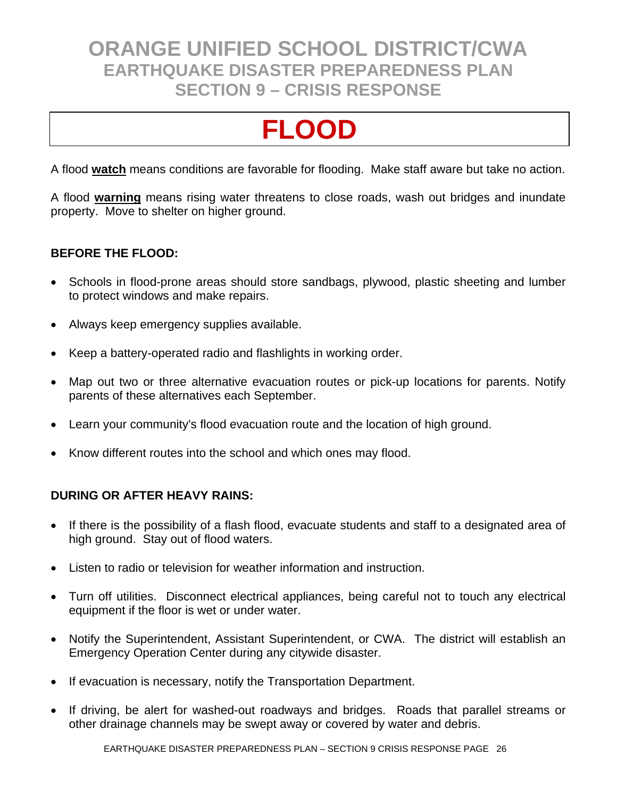# **FLOOD**

A flood **watch** means conditions are favorable for flooding. Make staff aware but take no action.

A flood **warning** means rising water threatens to close roads, wash out bridges and inundate property. Move to shelter on higher ground.

#### **BEFORE THE FLOOD:**

- Schools in flood-prone areas should store sandbags, plywood, plastic sheeting and lumber to protect windows and make repairs.
- Always keep emergency supplies available.
- Keep a battery-operated radio and flashlights in working order.
- Map out two or three alternative evacuation routes or pick-up locations for parents. Notify parents of these alternatives each September.
- Learn your community's flood evacuation route and the location of high ground.
- Know different routes into the school and which ones may flood.

#### **DURING OR AFTER HEAVY RAINS:**

- If there is the possibility of a flash flood, evacuate students and staff to a designated area of high ground. Stay out of flood waters.
- Listen to radio or television for weather information and instruction.
- Turn off utilities. Disconnect electrical appliances, being careful not to touch any electrical equipment if the floor is wet or under water.
- Notify the Superintendent, Assistant Superintendent, or CWA. The district will establish an Emergency Operation Center during any citywide disaster.
- If evacuation is necessary, notify the Transportation Department.
- If driving, be alert for washed-out roadways and bridges. Roads that parallel streams or other drainage channels may be swept away or covered by water and debris.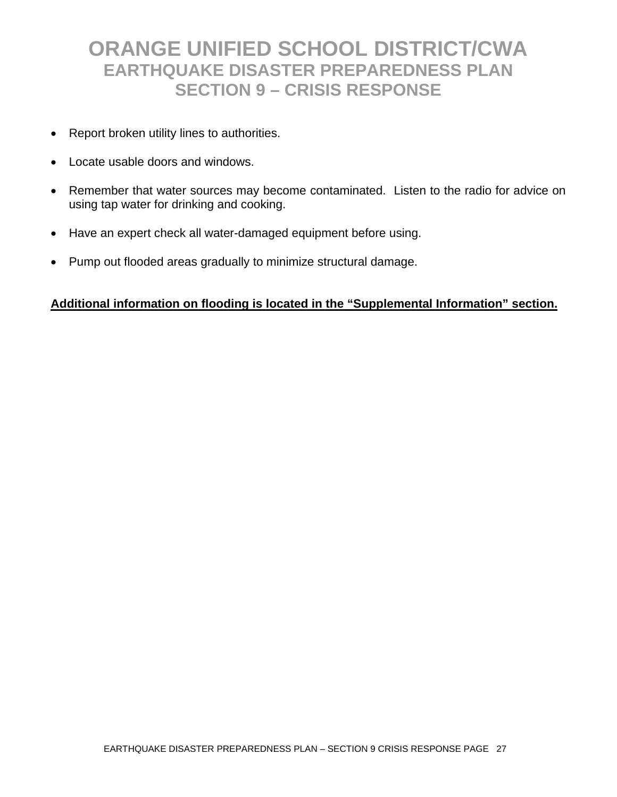- Report broken utility lines to authorities.
- Locate usable doors and windows.
- Remember that water sources may become contaminated. Listen to the radio for advice on using tap water for drinking and cooking.
- Have an expert check all water-damaged equipment before using.
- Pump out flooded areas gradually to minimize structural damage.

#### **Additional information on flooding is located in the "Supplemental Information" section.**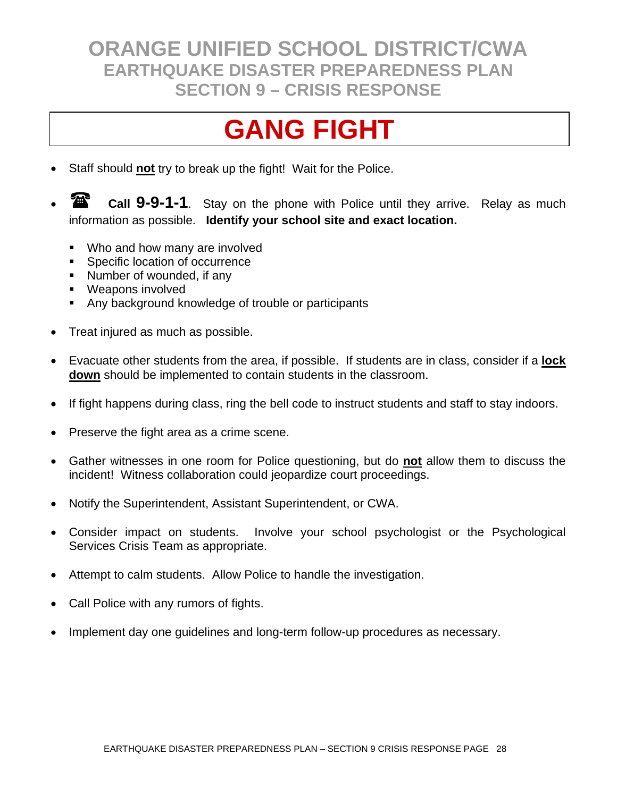# **GANG FIGHT**

- Staff should **not** try to break up the fight! Wait for the Police.
- **Call 9-9-1-1**. Stay on the phone with Police until they arrive. Relay as much information as possible. **Identify your school site and exact location.**
	- Who and how many are involved
	- Specific location of occurrence
	- **Number of wounded, if any**
	- **Weapons involved**
	- Any background knowledge of trouble or participants
- Treat injured as much as possible.
- Evacuate other students from the area, if possible. If students are in class, consider if a **lock down** should be implemented to contain students in the classroom.
- If fight happens during class, ring the bell code to instruct students and staff to stay indoors.
- Preserve the fight area as a crime scene.
- Gather witnesses in one room for Police questioning, but do **not** allow them to discuss the incident! Witness collaboration could jeopardize court proceedings.
- Notify the Superintendent, Assistant Superintendent, or CWA.
- Consider impact on students. Involve your school psychologist or the Psychological Services Crisis Team as appropriate.
- Attempt to calm students. Allow Police to handle the investigation.
- Call Police with any rumors of fights.
- Implement day one guidelines and long-term follow-up procedures as necessary.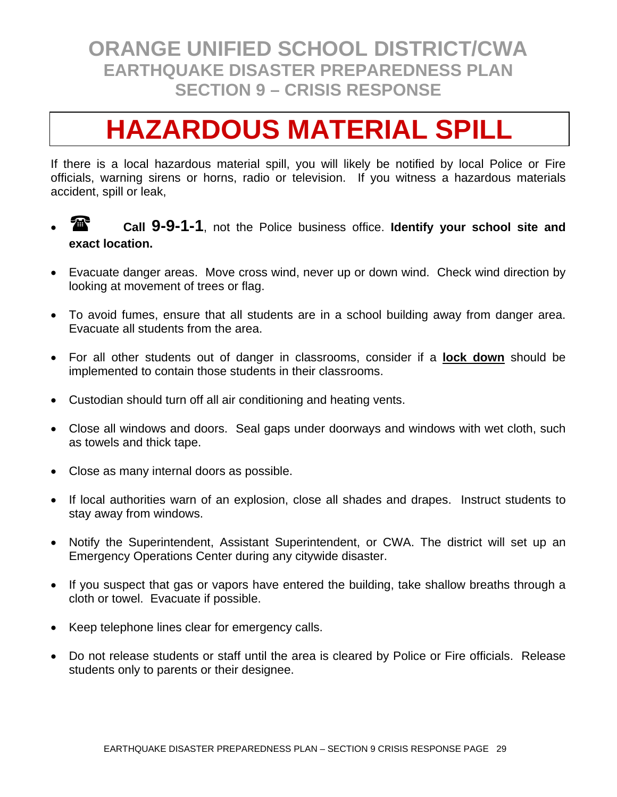# **HAZARDOUS MATERIAL SPILL**

If there is a local hazardous material spill, you will likely be notified by local Police or Fire officials, warning sirens or horns, radio or television. If you witness a hazardous materials accident, spill or leak,

- **Call 9-9-1-1**, not the Police business office. **Identify your school site and exact location.**
- Evacuate danger areas. Move cross wind, never up or down wind. Check wind direction by looking at movement of trees or flag.
- To avoid fumes, ensure that all students are in a school building away from danger area. Evacuate all students from the area.
- For all other students out of danger in classrooms, consider if a **lock down** should be implemented to contain those students in their classrooms.
- Custodian should turn off all air conditioning and heating vents.
- Close all windows and doors. Seal gaps under doorways and windows with wet cloth, such as towels and thick tape.
- Close as many internal doors as possible.
- If local authorities warn of an explosion, close all shades and drapes. Instruct students to stay away from windows.
- Notify the Superintendent, Assistant Superintendent, or CWA. The district will set up an Emergency Operations Center during any citywide disaster.
- If you suspect that gas or vapors have entered the building, take shallow breaths through a cloth or towel. Evacuate if possible.
- Keep telephone lines clear for emergency calls.
- Do not release students or staff until the area is cleared by Police or Fire officials. Release students only to parents or their designee.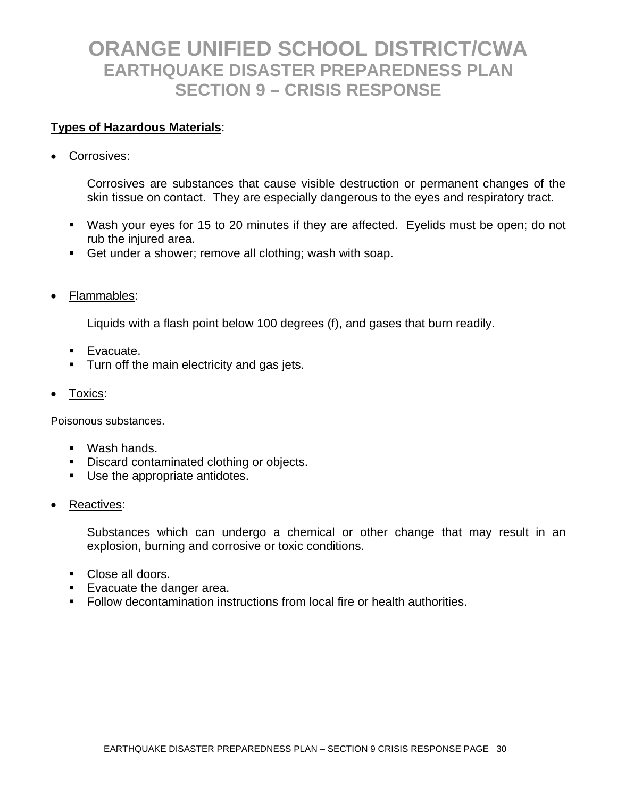#### **Types of Hazardous Materials**:

Corrosives:

Corrosives are substances that cause visible destruction or permanent changes of the skin tissue on contact. They are especially dangerous to the eyes and respiratory tract.

- Wash your eyes for 15 to 20 minutes if they are affected. Eyelids must be open; do not rub the injured area.
- Get under a shower; remove all clothing; wash with soap.
- Flammables:

Liquids with a flash point below 100 degrees (f), and gases that burn readily.

- **Evacuate.**
- **Turn off the main electricity and gas jets.**
- Toxics:

Poisonous substances.

- Wash hands.
- **Discard contaminated clothing or objects.**
- **Use the appropriate antidotes.**
- Reactives:

Substances which can undergo a chemical or other change that may result in an explosion, burning and corrosive or toxic conditions.

- Close all doors.
- **Exacuate the danger area.**
- Follow decontamination instructions from local fire or health authorities.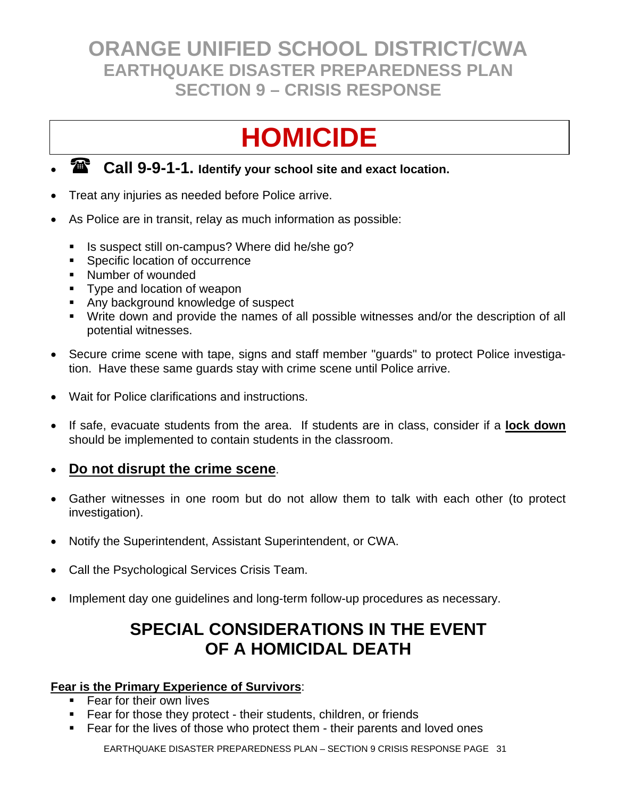# **HOMICIDE**

#### **<sup>2</sup> Call 9-9-1-1.** Identify your school site and exact location.

- Treat any injuries as needed before Police arrive.
- As Police are in transit, relay as much information as possible:
	- Is suspect still on-campus? Where did he/she go?
	- **Specific location of occurrence**
	- **Number of wounded**
	- **Type and location of weapon**
	- Any background knowledge of suspect
	- Write down and provide the names of all possible witnesses and/or the description of all potential witnesses.
- Secure crime scene with tape, signs and staff member "guards" to protect Police investigation. Have these same guards stay with crime scene until Police arrive.
- Wait for Police clarifications and instructions.
- If safe, evacuate students from the area. If students are in class, consider if a **lock down** should be implemented to contain students in the classroom.

#### • **Do not disrupt the crime scene**.

- Gather witnesses in one room but do not allow them to talk with each other (to protect investigation).
- Notify the Superintendent, Assistant Superintendent, or CWA.
- Call the Psychological Services Crisis Team.
- Implement day one guidelines and long-term follow-up procedures as necessary.

#### **SPECIAL CONSIDERATIONS IN THE EVENT OF A HOMICIDAL DEATH**

#### **Fear is the Primary Experience of Survivors**:

- **Fear for their own lives**
- Fear for those they protect their students, children, or friends
- **Fear for the lives of those who protect them their parents and loved ones**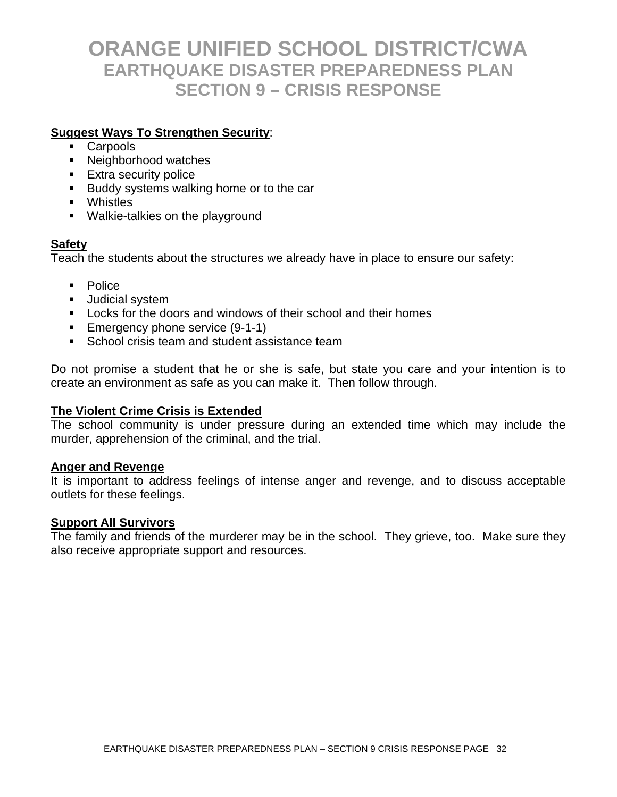#### **Suggest Ways To Strengthen Security**:

- Carpools
- Neighborhood watches
- **Extra security police**
- Buddy systems walking home or to the car
- Whistles
- **Walkie-talkies on the playground**

#### **Safety**

Teach the students about the structures we already have in place to ensure our safety:

- Police
- **Judicial system**
- **Locks for the doors and windows of their school and their homes**
- **Emergency phone service (9-1-1)**
- **School crisis team and student assistance team**

Do not promise a student that he or she is safe, but state you care and your intention is to create an environment as safe as you can make it. Then follow through.

#### **The Violent Crime Crisis is Extended**

The school community is under pressure during an extended time which may include the murder, apprehension of the criminal, and the trial.

#### **Anger and Revenge**

It is important to address feelings of intense anger and revenge, and to discuss acceptable outlets for these feelings.

#### **Support All Survivors**

The family and friends of the murderer may be in the school. They grieve, too. Make sure they also receive appropriate support and resources.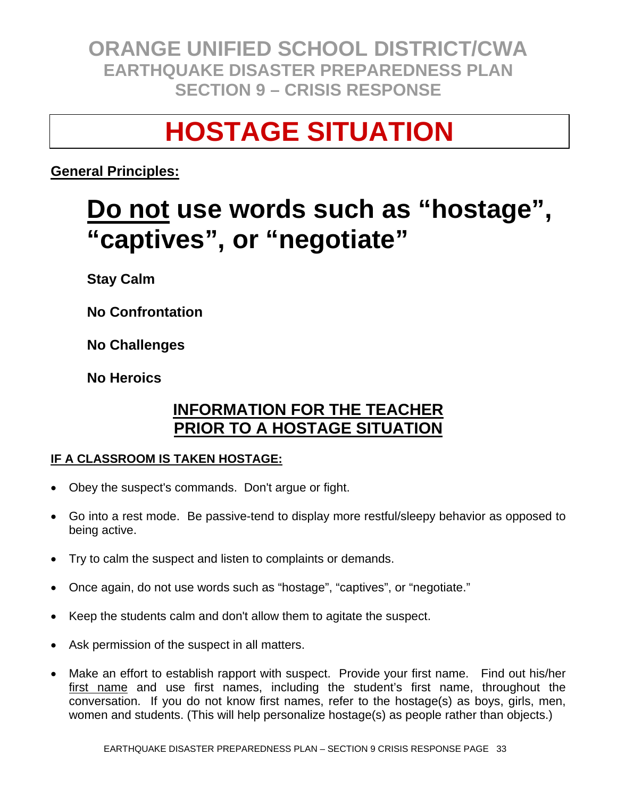# **HOSTAGE SITUATION**

**General Principles:**

# **Do not use words such as "hostage", "captives", or "negotiate"**

**Stay Calm** 

**No Confrontation** 

**No Challenges** 

**No Heroics**

#### **INFORMATION FOR THE TEACHER PRIOR TO A HOSTAGE SITUATION**

#### **IF A CLASSROOM IS TAKEN HOSTAGE:**

- Obey the suspect's commands. Don't argue or fight.
- Go into a rest mode. Be passive-tend to display more restful/sleepy behavior as opposed to being active.
- Try to calm the suspect and listen to complaints or demands.
- Once again, do not use words such as "hostage", "captives", or "negotiate."
- Keep the students calm and don't allow them to agitate the suspect.
- Ask permission of the suspect in all matters.
- Make an effort to establish rapport with suspect. Provide your first name. Find out his/her first name and use first names, including the student's first name, throughout the conversation. If you do not know first names, refer to the hostage(s) as boys, girls, men, women and students. (This will help personalize hostage(s) as people rather than objects.)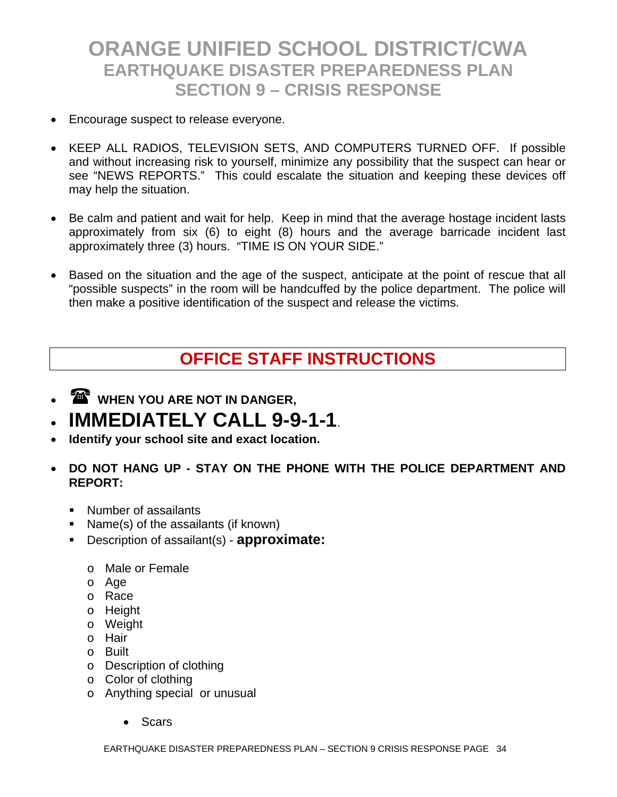- Encourage suspect to release everyone.
- KEEP ALL RADIOS, TELEVISION SETS, AND COMPUTERS TURNED OFF. If possible and without increasing risk to yourself, minimize any possibility that the suspect can hear or see "NEWS REPORTS." This could escalate the situation and keeping these devices off may help the situation.
- Be calm and patient and wait for help. Keep in mind that the average hostage incident lasts approximately from six (6) to eight (8) hours and the average barricade incident last approximately three (3) hours. "TIME IS ON YOUR SIDE."
- Based on the situation and the age of the suspect, anticipate at the point of rescue that all "possible suspects" in the room will be handcuffed by the police department. The police will then make a positive identification of the suspect and release the victims.

#### **OFFICE STAFF INSTRUCTIONS**

*<b>WHEN YOU ARE NOT IN DANGER,* 

### • **IMMEDIATELY CALL 9-9-1-1**.

- **Identify your school site and exact location.**
- **DO NOT HANG UP STAY ON THE PHONE WITH THE POLICE DEPARTMENT AND REPORT:** 
	- **Number of assailants**
	- Name(s) of the assailants (if known)
	- Description of assailant(s) **approximate:**
		- o Male or Female
		- o Age
		- o Race
		- o Height
		- o Weight
		- o Hair
		- o Built
		- o Description of clothing
		- o Color of clothing
		- o Anything special or unusual
			- Scars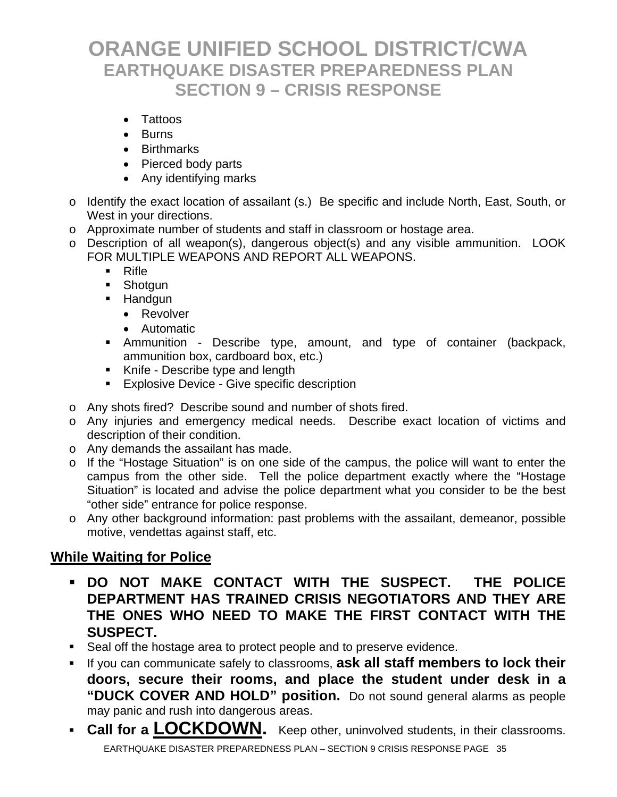- Tattoos
- Burns
- Birthmarks
- Pierced body parts
- Any identifying marks
- o Identify the exact location of assailant (s.) Be specific and include North, East, South, or West in your directions.
- o Approximate number of students and staff in classroom or hostage area.
- o Description of all weapon(s), dangerous object(s) and any visible ammunition. LOOK FOR MULTIPLE WEAPONS AND REPORT ALL WEAPONS.
	- $\blacksquare$  Rifle
	- **Shotgun**
	- **Handgun** 
		- Revolver
		- Automatic
	- **Ammunition Describe type, amount, and type of container (backpack,** ammunition box, cardboard box, etc.)
	- Knife Describe type and length
	- **Explosive Device Give specific description**
- o Any shots fired? Describe sound and number of shots fired.
- o Any injuries and emergency medical needs. Describe exact location of victims and description of their condition.
- o Any demands the assailant has made.
- o If the "Hostage Situation" is on one side of the campus, the police will want to enter the campus from the other side. Tell the police department exactly where the "Hostage Situation" is located and advise the police department what you consider to be the best "other side" entrance for police response.
- o Any other background information: past problems with the assailant, demeanor, possible motive, vendettas against staff, etc.

#### **While Waiting for Police**

- **DO NOT MAKE CONTACT WITH THE SUSPECT. THE POLICE DEPARTMENT HAS TRAINED CRISIS NEGOTIATORS AND THEY ARE THE ONES WHO NEED TO MAKE THE FIRST CONTACT WITH THE SUSPECT.**
- Seal off the hostage area to protect people and to preserve evidence.
- If you can communicate safely to classrooms, **ask all staff members to lock their doors, secure their rooms, and place the student under desk in a "DUCK COVER AND HOLD" position.** Do not sound general alarms as people may panic and rush into dangerous areas.
- EARTHQUAKE DISASTER PREPAREDNESS PLAN SECTION 9 CRISIS RESPONSE PAGE 35 **Call for a LOCKDOWN.** Keep other, uninvolved students, in their classrooms.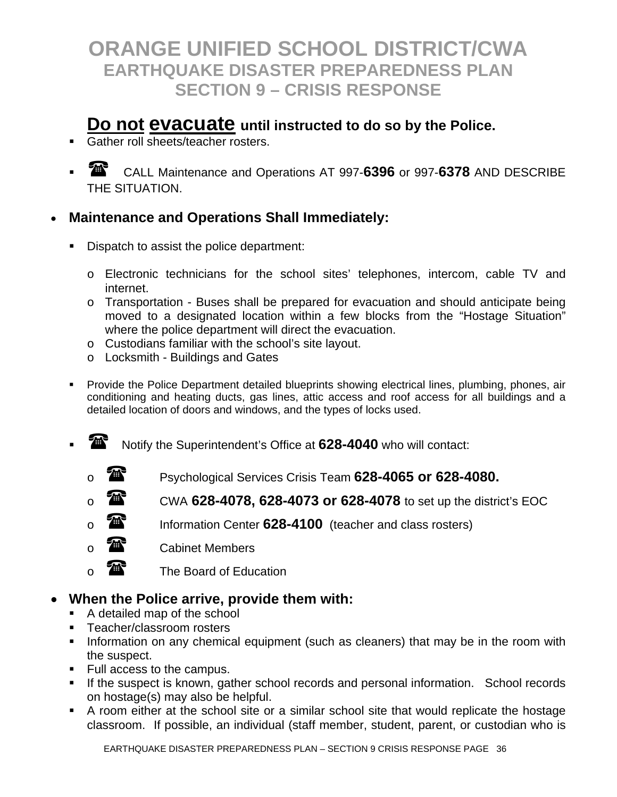#### **Do not evacuate until instructed to do so by the Police.**

- Gather roll sheets/teacher rosters.
- CALL Maintenance and Operations AT 997-**<sup>6396</sup>** or 997-**6378** AND DESCRIBE THE SITUATION.

#### • **Maintenance and Operations Shall Immediately:**

- Dispatch to assist the police department:
	- o Electronic technicians for the school sites' telephones, intercom, cable TV and internet.
	- o Transportation Buses shall be prepared for evacuation and should anticipate being moved to a designated location within a few blocks from the "Hostage Situation" where the police department will direct the evacuation.
	- o Custodians familiar with the school's site layout.
	- o Locksmith Buildings and Gates
- **Provide the Police Department detailed blueprints showing electrical lines, plumbing, phones, air** conditioning and heating ducts, gas lines, attic access and roof access for all buildings and a detailed location of doors and windows, and the types of locks used.
- Notify the Superintendent's Office at **628-4040** who will contact:
	- <sup>o</sup> Psychological Services Crisis Team **628-4065 or 628-4080.**
	- <sup>o</sup> CWA **628-4078, 628-4073 or 628-4078** to set up the district's EOC
	- o **1** Information Center **628-4100** (teacher and class rosters)
	- **THE** Cabinet Members
	- $T<sup>2</sup>$  The Board of Education

#### • **When the Police arrive, provide them with:**

- A detailed map of the school
- **Teacher/classroom rosters**
- **Information on any chemical equipment (such as cleaners) that may be in the room with** the suspect.
- **Full access to the campus.**
- **If the suspect is known, gather school records and personal information. School records** on hostage(s) may also be helpful.
- A room either at the school site or a similar school site that would replicate the hostage classroom. If possible, an individual (staff member, student, parent, or custodian who is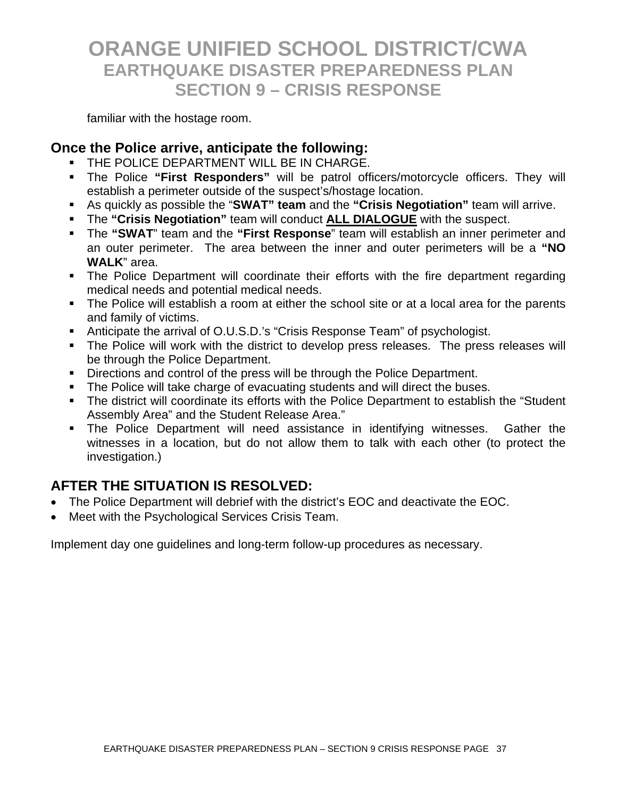familiar with the hostage room.

#### **Once the Police arrive, anticipate the following:**

- **THE POLICE DEPARTMENT WILL BE IN CHARGE.**
- The Police **"First Responders"** will be patrol officers/motorcycle officers. They will establish a perimeter outside of the suspect's/hostage location.
- As quickly as possible the "**SWAT" team** and the **"Crisis Negotiation"** team will arrive.
- The **"Crisis Negotiation"** team will conduct **ALL DIALOGUE** with the suspect.
- The **"SWAT**" team and the **"First Response**" team will establish an inner perimeter and an outer perimeter. The area between the inner and outer perimeters will be a **"NO WALK**" area.
- The Police Department will coordinate their efforts with the fire department regarding medical needs and potential medical needs.
- The Police will establish a room at either the school site or at a local area for the parents and family of victims.
- Anticipate the arrival of O.U.S.D.'s "Crisis Response Team" of psychologist.
- The Police will work with the district to develop press releases. The press releases will be through the Police Department.
- Directions and control of the press will be through the Police Department.
- The Police will take charge of evacuating students and will direct the buses.
- The district will coordinate its efforts with the Police Department to establish the "Student" Assembly Area" and the Student Release Area."
- The Police Department will need assistance in identifying witnesses. Gather the witnesses in a location, but do not allow them to talk with each other (to protect the investigation.)

#### **AFTER THE SITUATION IS RESOLVED:**

- The Police Department will debrief with the district's EOC and deactivate the EOC.
- Meet with the Psychological Services Crisis Team.

Implement day one guidelines and long-term follow-up procedures as necessary.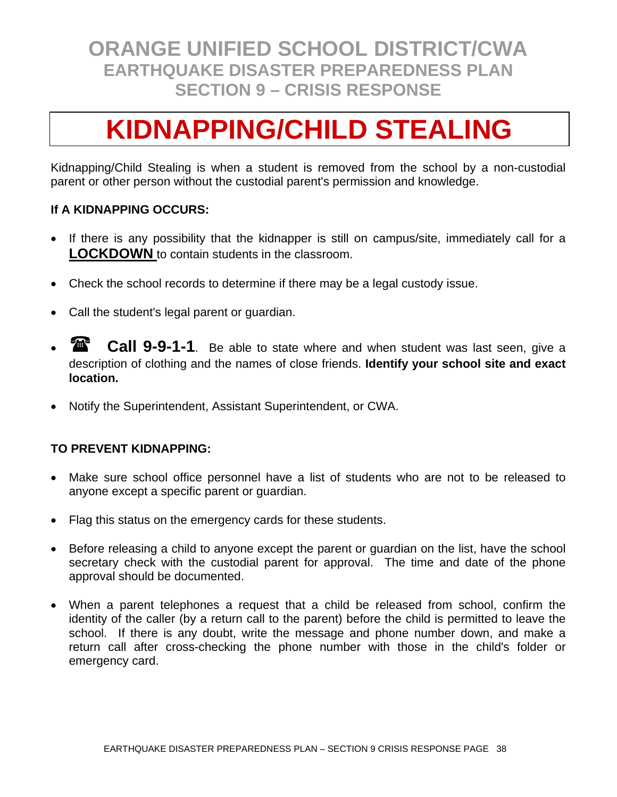# **KIDNAPPING/CHILD STEALING**

Kidnapping/Child Stealing is when a student is removed from the school by a non-custodial parent or other person without the custodial parent's permission and knowledge.

#### **If A KIDNAPPING OCCURS:**

- If there is any possibility that the kidnapper is still on campus/site, immediately call for a **LOCKDOWN** to contain students in the classroom.
- Check the school records to determine if there may be a legal custody issue.
- Call the student's legal parent or guardian.
- **1 Call 9-9-1-1**. Be able to state where and when student was last seen, give a description of clothing and the names of close friends. **Identify your school site and exact location.**
- Notify the Superintendent, Assistant Superintendent, or CWA.

#### **TO PREVENT KIDNAPPING:**

- Make sure school office personnel have a list of students who are not to be released to anyone except a specific parent or guardian.
- Flag this status on the emergency cards for these students.
- Before releasing a child to anyone except the parent or guardian on the list, have the school secretary check with the custodial parent for approval. The time and date of the phone approval should be documented.
- When a parent telephones a request that a child be released from school, confirm the identity of the caller (by a return call to the parent) before the child is permitted to leave the school. If there is any doubt, write the message and phone number down, and make a return call after cross-checking the phone number with those in the child's folder or emergency card.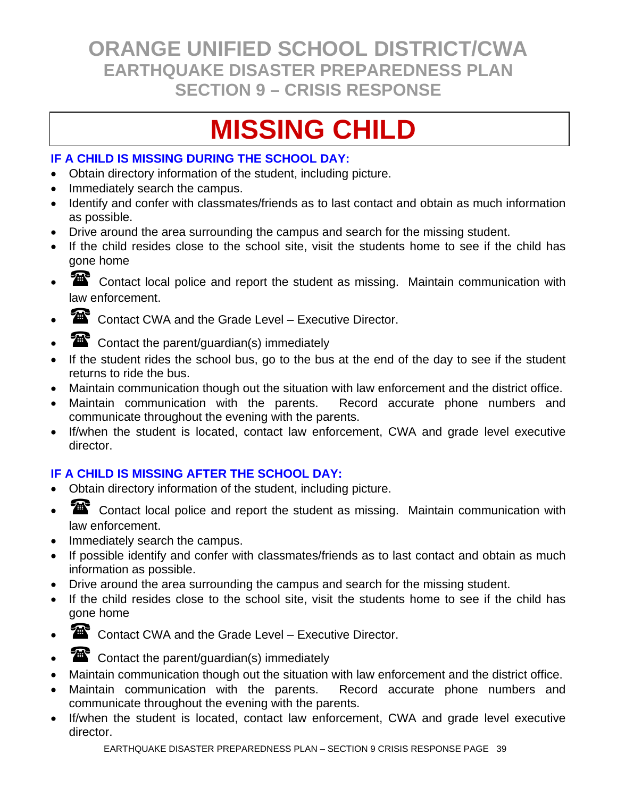# **MISSING CHILD**

#### **IF A CHILD IS MISSING DURING THE SCHOOL DAY:**

- Obtain directory information of the student, including picture.
- Immediately search the campus.
- Identify and confer with classmates/friends as to last contact and obtain as much information as possible.
- Drive around the area surrounding the campus and search for the missing student.
- If the child resides close to the school site, visit the students home to see if the child has gone home
- <sup>22</sup> Contact local police and report the student as missing. Maintain communication with law enforcement.
- **Contact CWA and the Grade Level Executive Director.**
- **•** Contact the parent/guardian(s) immediately
- If the student rides the school bus, go to the bus at the end of the day to see if the student returns to ride the bus.
- Maintain communication though out the situation with law enforcement and the district office.
- Maintain communication with the parents. Record accurate phone numbers and communicate throughout the evening with the parents.
- If/when the student is located, contact law enforcement, CWA and grade level executive director.

#### **IF A CHILD IS MISSING AFTER THE SCHOOL DAY:**

- Obtain directory information of the student, including picture.
- $\bullet$  Contact local police and report the student as missing. Maintain communication with law enforcement.
- Immediately search the campus.
- If possible identify and confer with classmates/friends as to last contact and obtain as much information as possible.
- Drive around the area surrounding the campus and search for the missing student.
- If the child resides close to the school site, visit the students home to see if the child has gone home
- <sup>2</sup> Contact CWA and the Grade Level Executive Director.
- **The Contact the parent/guardian(s) immediately**
- Maintain communication though out the situation with law enforcement and the district office.
- Maintain communication with the parents. Record accurate phone numbers and communicate throughout the evening with the parents.
- If/when the student is located, contact law enforcement, CWA and grade level executive director.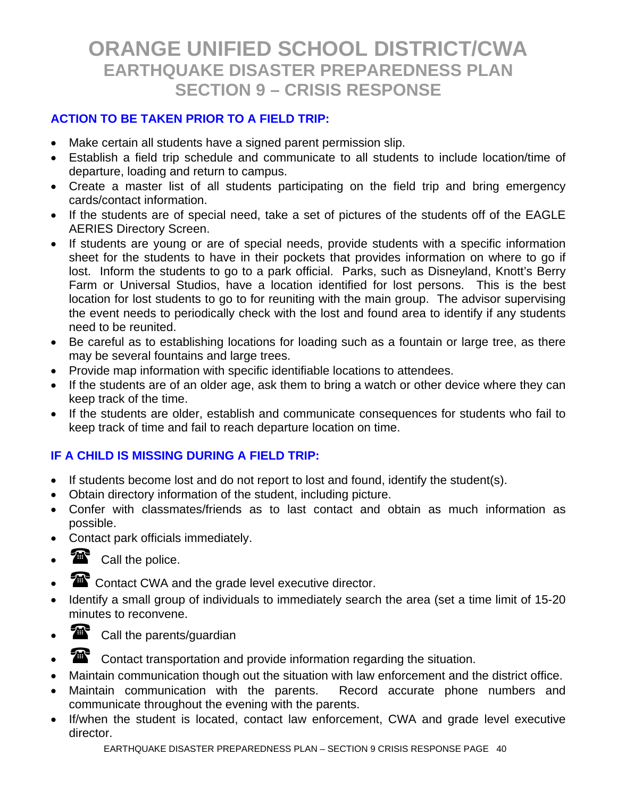#### **ACTION TO BE TAKEN PRIOR TO A FIELD TRIP:**

- Make certain all students have a signed parent permission slip.
- Establish a field trip schedule and communicate to all students to include location/time of departure, loading and return to campus.
- Create a master list of all students participating on the field trip and bring emergency cards/contact information.
- If the students are of special need, take a set of pictures of the students off of the EAGLE AERIES Directory Screen.
- If students are young or are of special needs, provide students with a specific information sheet for the students to have in their pockets that provides information on where to go if lost. Inform the students to go to a park official. Parks, such as Disneyland, Knott's Berry Farm or Universal Studios, have a location identified for lost persons. This is the best location for lost students to go to for reuniting with the main group. The advisor supervising the event needs to periodically check with the lost and found area to identify if any students need to be reunited.
- Be careful as to establishing locations for loading such as a fountain or large tree, as there may be several fountains and large trees.
- Provide map information with specific identifiable locations to attendees.
- If the students are of an older age, ask them to bring a watch or other device where they can keep track of the time.
- If the students are older, establish and communicate consequences for students who fail to keep track of time and fail to reach departure location on time.

#### **IF A CHILD IS MISSING DURING A FIELD TRIP:**

- If students become lost and do not report to lost and found, identify the student(s).
- Obtain directory information of the student, including picture.
- Confer with classmates/friends as to last contact and obtain as much information as possible.
- Contact park officials immediately.
- **T** Call the police.
- **EX** Contact CWA and the grade level executive director.
- Identify a small group of individuals to immediately search the area (set a time limit of 15-20 minutes to reconvene.
- **<sup>18</sup>** Call the parents/guardian
- **18** Contact transportation and provide information regarding the situation.
- Maintain communication though out the situation with law enforcement and the district office.
- Maintain communication with the parents. Record accurate phone numbers and communicate throughout the evening with the parents.
- If/when the student is located, contact law enforcement, CWA and grade level executive director.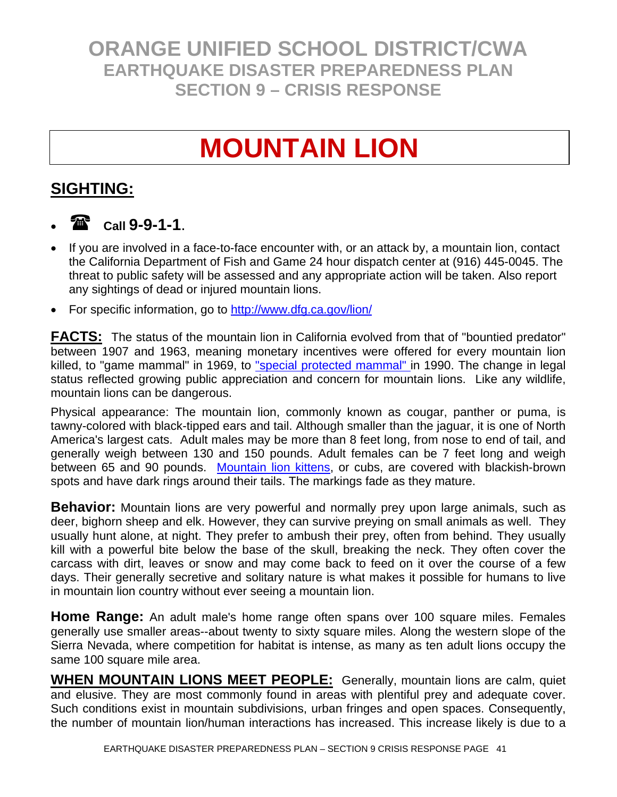# **MOUNTAIN LION**

### **SIGHTING:**

- $\mathbf{\widehat{m}}$   $\mathbf{C}$ all 9-9-1-1
- If you are involved in a face-to-face encounter with, or an attack by, a mountain lion, contact the California Department of Fish and Game 24 hour dispatch center at (916) 445-0045. The threat to public safety will be assessed and any appropriate action will be taken. Also report any sightings of dead or injured mountain lions.
- For specific information, go to http://www.dfg.ca.gov/lion/

**FACTS:** The status of the mountain lion in California evolved from that of "bountied predator" between 1907 and 1963, meaning monetary incentives were offered for every mountain lion killed, to "game mammal" in 1969, to "special protected mammal" in 1990. The change in legal status reflected growing public appreciation and concern for mountain lions. Like any wildlife, mountain lions can be dangerous.

Physical appearance: The mountain lion, commonly known as cougar, panther or puma, is tawny-colored with black-tipped ears and tail. Although smaller than the jaguar, it is one of North America's largest cats. Adult males may be more than 8 feet long, from nose to end of tail, and generally weigh between 130 and 150 pounds. Adult females can be 7 feet long and weigh between 65 and 90 pounds. Mountain lion kittens, or cubs, are covered with blackish-brown spots and have dark rings around their tails. The markings fade as they mature.

**Behavior:** Mountain lions are very powerful and normally prey upon large animals, such as deer, bighorn sheep and elk. However, they can survive preying on small animals as well. They usually hunt alone, at night. They prefer to ambush their prey, often from behind. They usually kill with a powerful bite below the base of the skull, breaking the neck. They often cover the carcass with dirt, leaves or snow and may come back to feed on it over the course of a few days. Their generally secretive and solitary nature is what makes it possible for humans to live in mountain lion country without ever seeing a mountain lion.

**Home Range:** An adult male's home range often spans over 100 square miles. Females generally use smaller areas--about twenty to sixty square miles. Along the western slope of the Sierra Nevada, where competition for habitat is intense, as many as ten adult lions occupy the same 100 square mile area.

**WHEN MOUNTAIN LIONS MEET PEOPLE:** Generally, mountain lions are calm, quiet and elusive. They are most commonly found in areas with plentiful prey and adequate cover. Such conditions exist in mountain subdivisions, urban fringes and open spaces. Consequently, the number of mountain lion/human interactions has increased. This increase likely is due to a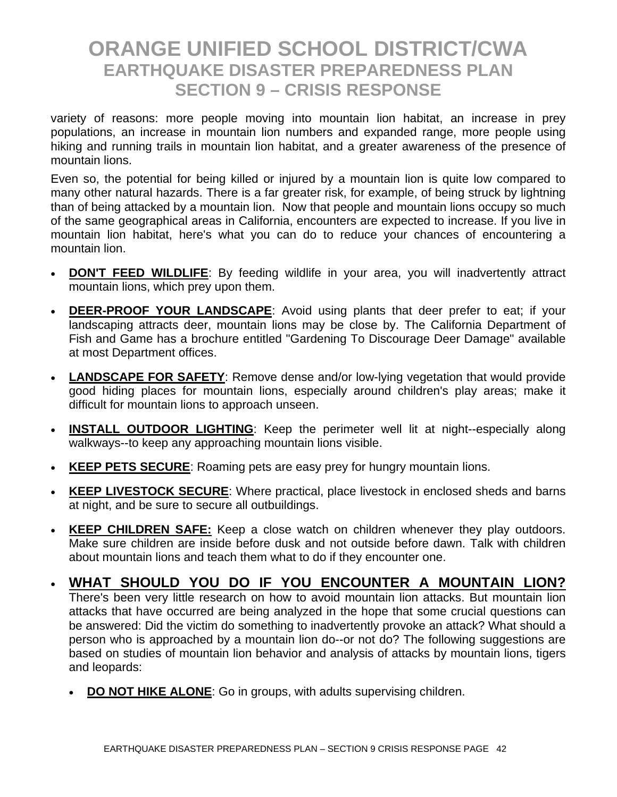variety of reasons: more people moving into mountain lion habitat, an increase in prey populations, an increase in mountain lion numbers and expanded range, more people using hiking and running trails in mountain lion habitat, and a greater awareness of the presence of mountain lions.

Even so, the potential for being killed or injured by a mountain lion is quite low compared to many other natural hazards. There is a far greater risk, for example, of being struck by lightning than of being attacked by a mountain lion. Now that people and mountain lions occupy so much of the same geographical areas in California, encounters are expected to increase. If you live in mountain lion habitat, here's what you can do to reduce your chances of encountering a mountain lion.

- **DON'T FEED WILDLIFE**: By feeding wildlife in your area, you will inadvertently attract mountain lions, which prey upon them.
- **DEER-PROOF YOUR LANDSCAPE**: Avoid using plants that deer prefer to eat; if your landscaping attracts deer, mountain lions may be close by. The California Department of Fish and Game has a brochure entitled "Gardening To Discourage Deer Damage" available at most Department offices.
- **LANDSCAPE FOR SAFETY**: Remove dense and/or low-lying vegetation that would provide good hiding places for mountain lions, especially around children's play areas; make it difficult for mountain lions to approach unseen.
- **INSTALL OUTDOOR LIGHTING**: Keep the perimeter well lit at night--especially along walkways--to keep any approaching mountain lions visible.
- **KEEP PETS SECURE**: Roaming pets are easy prey for hungry mountain lions.
- **KEEP LIVESTOCK SECURE**: Where practical, place livestock in enclosed sheds and barns at night, and be sure to secure all outbuildings.
- **KEEP CHILDREN SAFE:** Keep a close watch on children whenever they play outdoors. Make sure children are inside before dusk and not outside before dawn. Talk with children about mountain lions and teach them what to do if they encounter one.

#### • **WHAT SHOULD YOU DO IF YOU ENCOUNTER A MOUNTAIN LION?**

There's been very little research on how to avoid mountain lion attacks. But mountain lion attacks that have occurred are being analyzed in the hope that some crucial questions can be answered: Did the victim do something to inadvertently provoke an attack? What should a person who is approached by a mountain lion do--or not do? The following suggestions are based on studies of mountain lion behavior and analysis of attacks by mountain lions, tigers and leopards:

• **DO NOT HIKE ALONE**: Go in groups, with adults supervising children.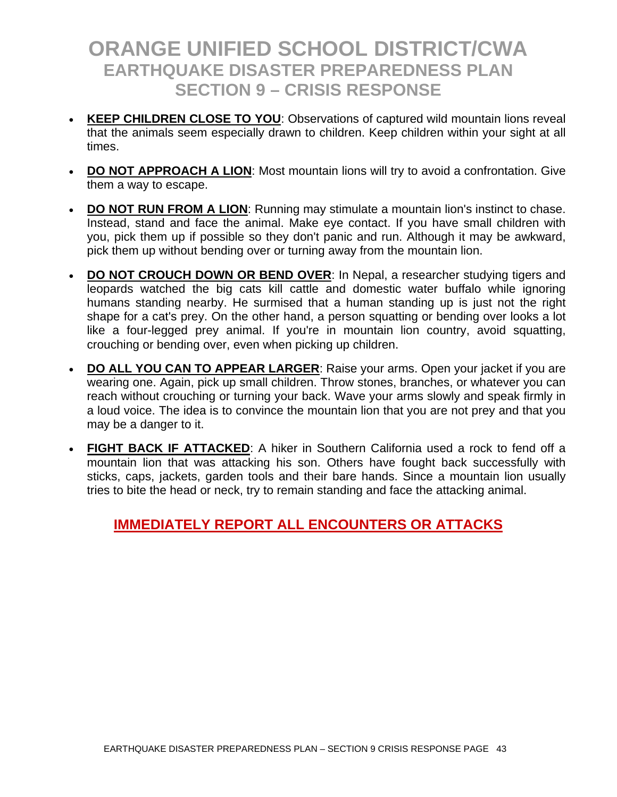- **KEEP CHILDREN CLOSE TO YOU**: Observations of captured wild mountain lions reveal that the animals seem especially drawn to children. Keep children within your sight at all times.
- **DO NOT APPROACH A LION:** Most mountain lions will try to avoid a confrontation. Give them a way to escape.
- **DO NOT RUN FROM A LION**: Running may stimulate a mountain lion's instinct to chase. Instead, stand and face the animal. Make eye contact. If you have small children with you, pick them up if possible so they don't panic and run. Although it may be awkward, pick them up without bending over or turning away from the mountain lion.
- **DO NOT CROUCH DOWN OR BEND OVER:** In Nepal, a researcher studying tigers and leopards watched the big cats kill cattle and domestic water buffalo while ignoring humans standing nearby. He surmised that a human standing up is just not the right shape for a cat's prey. On the other hand, a person squatting or bending over looks a lot like a four-legged prey animal. If you're in mountain lion country, avoid squatting, crouching or bending over, even when picking up children.
- **DO ALL YOU CAN TO APPEAR LARGER**: Raise your arms. Open your jacket if you are wearing one. Again, pick up small children. Throw stones, branches, or whatever you can reach without crouching or turning your back. Wave your arms slowly and speak firmly in a loud voice. The idea is to convince the mountain lion that you are not prey and that you may be a danger to it.
- **FIGHT BACK IF ATTACKED**: A hiker in Southern California used a rock to fend off a mountain lion that was attacking his son. Others have fought back successfully with sticks, caps, jackets, garden tools and their bare hands. Since a mountain lion usually tries to bite the head or neck, try to remain standing and face the attacking animal.

#### **IMMEDIATELY REPORT ALL ENCOUNTERS OR ATTACKS**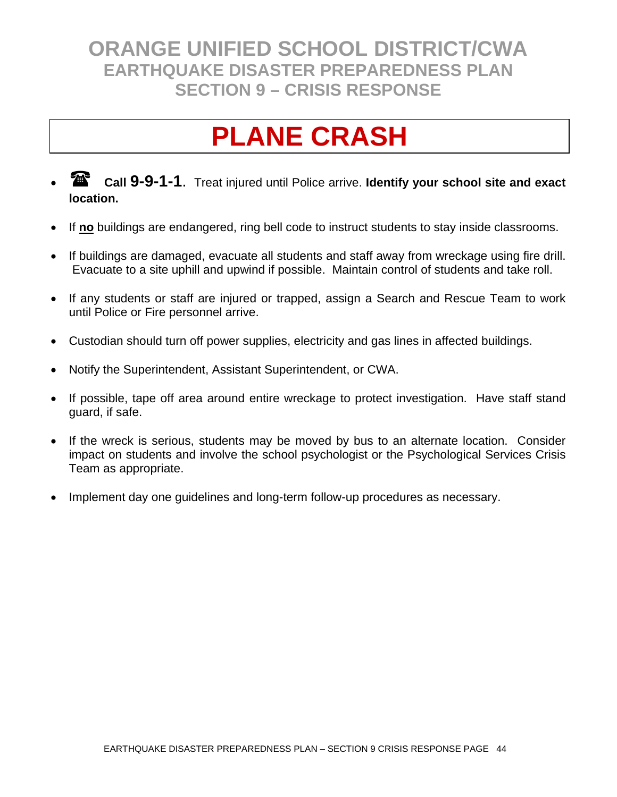# **PLANE CRASH**

- **Call 9-9-1-1**. Treat injured until Police arrive. **Identify your school site and exact location.**
- If **no** buildings are endangered, ring bell code to instruct students to stay inside classrooms.
- If buildings are damaged, evacuate all students and staff away from wreckage using fire drill. Evacuate to a site uphill and upwind if possible. Maintain control of students and take roll.
- If any students or staff are injured or trapped, assign a Search and Rescue Team to work until Police or Fire personnel arrive.
- Custodian should turn off power supplies, electricity and gas lines in affected buildings.
- Notify the Superintendent, Assistant Superintendent, or CWA.
- If possible, tape off area around entire wreckage to protect investigation. Have staff stand guard, if safe.
- If the wreck is serious, students may be moved by bus to an alternate location. Consider impact on students and involve the school psychologist or the Psychological Services Crisis Team as appropriate.
- Implement day one guidelines and long-term follow-up procedures as necessary.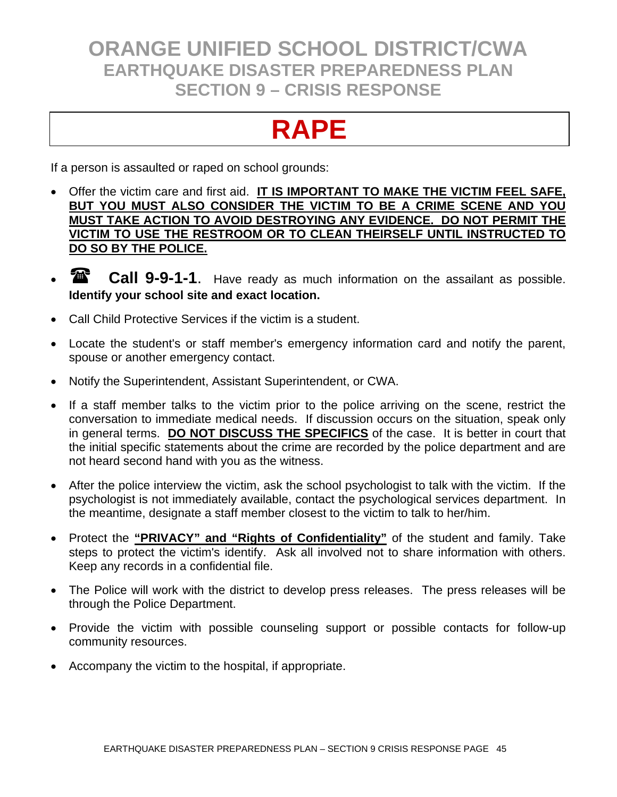# **RAPE**

If a person is assaulted or raped on school grounds:

- Offer the victim care and first aid. **IT IS IMPORTANT TO MAKE THE VICTIM FEEL SAFE, BUT YOU MUST ALSO CONSIDER THE VICTIM TO BE A CRIME SCENE AND YOU MUST TAKE ACTION TO AVOID DESTROYING ANY EVIDENCE. DO NOT PERMIT THE VICTIM TO USE THE RESTROOM OR TO CLEAN THEIRSELF UNTIL INSTRUCTED TO DO SO BY THE POLICE.**
- **<sup>22</sup> Call 9-9-1-1**. Have ready as much information on the assailant as possible. **Identify your school site and exact location.**
- Call Child Protective Services if the victim is a student.
- Locate the student's or staff member's emergency information card and notify the parent, spouse or another emergency contact.
- Notify the Superintendent, Assistant Superintendent, or CWA.
- If a staff member talks to the victim prior to the police arriving on the scene, restrict the conversation to immediate medical needs. If discussion occurs on the situation, speak only in general terms. **DO NOT DISCUSS THE SPECIFICS** of the case. It is better in court that the initial specific statements about the crime are recorded by the police department and are not heard second hand with you as the witness.
- After the police interview the victim, ask the school psychologist to talk with the victim. If the psychologist is not immediately available, contact the psychological services department. In the meantime, designate a staff member closest to the victim to talk to her/him.
- Protect the **"PRIVACY" and "Rights of Confidentiality"** of the student and family. Take steps to protect the victim's identify. Ask all involved not to share information with others. Keep any records in a confidential file.
- The Police will work with the district to develop press releases. The press releases will be through the Police Department.
- Provide the victim with possible counseling support or possible contacts for follow-up community resources.
- Accompany the victim to the hospital, if appropriate.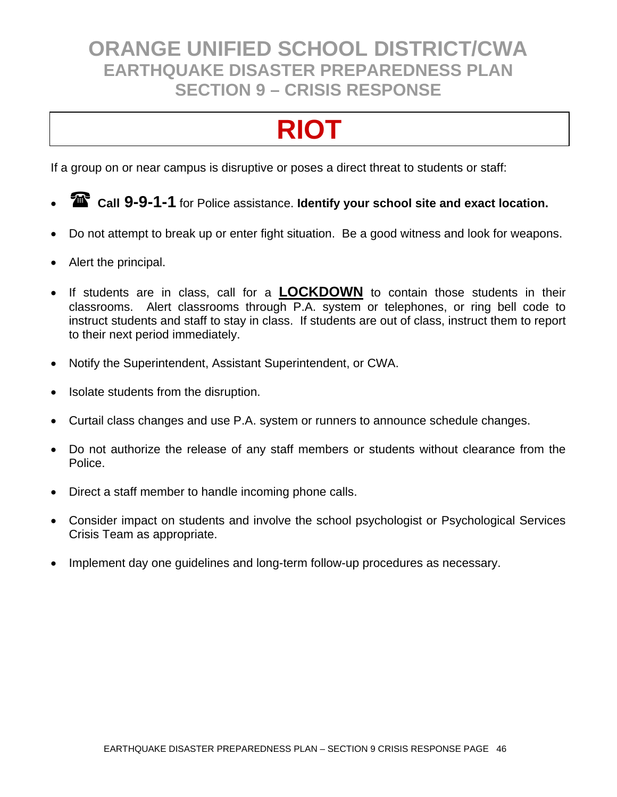# **RIOT**

If a group on or near campus is disruptive or poses a direct threat to students or staff:

- **<sup>2</sup>** Call 9-9-1-1 for Police assistance. Identify your school site and exact location.
- Do not attempt to break up or enter fight situation. Be a good witness and look for weapons.
- Alert the principal.
- If students are in class, call for a **LOCKDOWN** to contain those students in their classrooms. Alert classrooms through P.A. system or telephones, or ring bell code to instruct students and staff to stay in class. If students are out of class, instruct them to report to their next period immediately.
- Notify the Superintendent, Assistant Superintendent, or CWA.
- Isolate students from the disruption.
- Curtail class changes and use P.A. system or runners to announce schedule changes.
- Do not authorize the release of any staff members or students without clearance from the Police.
- Direct a staff member to handle incoming phone calls.
- Consider impact on students and involve the school psychologist or Psychological Services Crisis Team as appropriate.
- Implement day one guidelines and long-term follow-up procedures as necessary.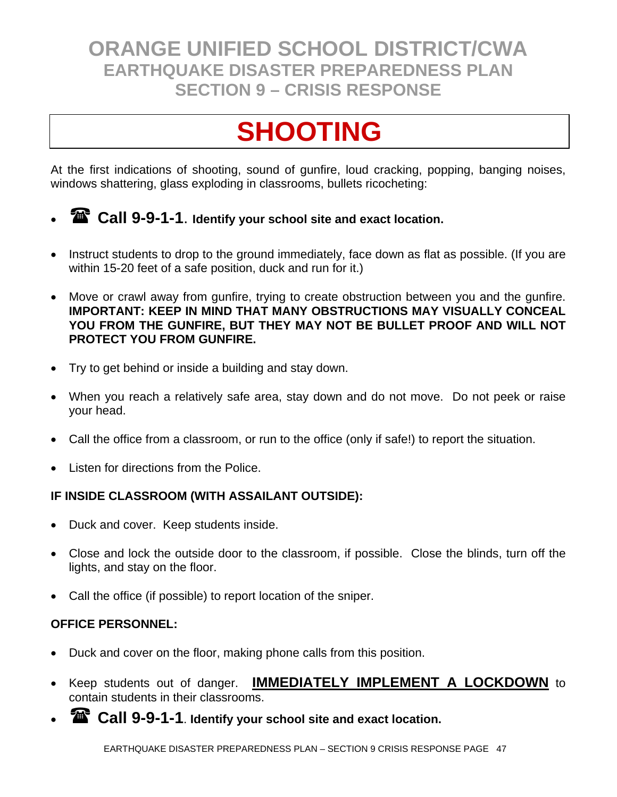# **SHOOTING**

At the first indications of shooting, sound of gunfire, loud cracking, popping, banging noises, windows shattering, glass exploding in classrooms, bullets ricocheting:

- **<sup>28</sup>** Call 9-9-1-1. Identify your school site and exact location.
- Instruct students to drop to the ground immediately, face down as flat as possible. (If you are within 15-20 feet of a safe position, duck and run for it.)
- Move or crawl away from gunfire, trying to create obstruction between you and the gunfire. **IMPORTANT: KEEP IN MIND THAT MANY OBSTRUCTIONS MAY VISUALLY CONCEAL YOU FROM THE GUNFIRE, BUT THEY MAY NOT BE BULLET PROOF AND WILL NOT PROTECT YOU FROM GUNFIRE.**
- Try to get behind or inside a building and stay down.
- When you reach a relatively safe area, stay down and do not move. Do not peek or raise your head.
- Call the office from a classroom, or run to the office (only if safe!) to report the situation.
- Listen for directions from the Police.

#### **IF INSIDE CLASSROOM (WITH ASSAILANT OUTSIDE):**

- Duck and cover. Keep students inside.
- Close and lock the outside door to the classroom, if possible. Close the blinds, turn off the lights, and stay on the floor.
- Call the office (if possible) to report location of the sniper.

#### **OFFICE PERSONNEL:**

- Duck and cover on the floor, making phone calls from this position.
- Keep students out of danger. **IMMEDIATELY IMPLEMENT A LOCKDOWN** to contain students in their classrooms.
- **Call 9-9-1-1**. **Identify your school site and exact location.**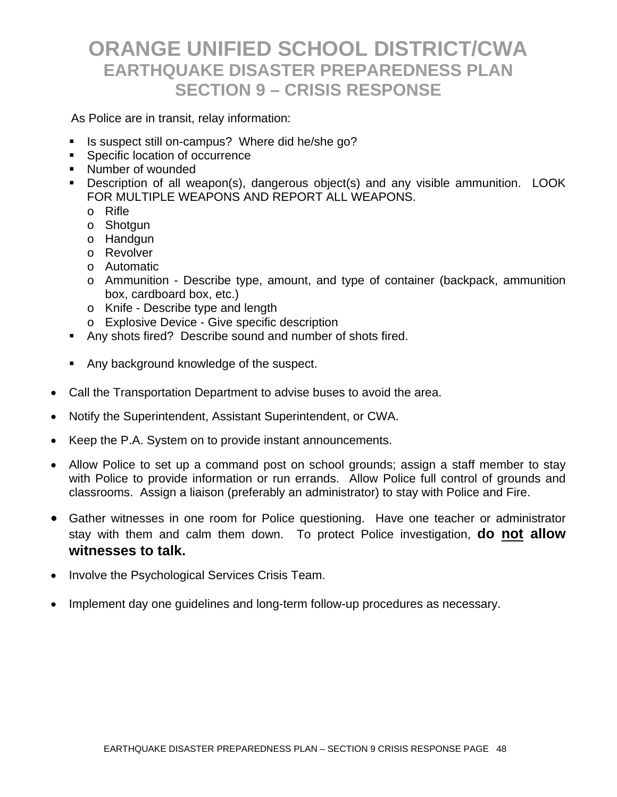As Police are in transit, relay information:

- Is suspect still on-campus? Where did he/she go?
- **Specific location of occurrence**
- Number of wounded
- Description of all weapon(s), dangerous object(s) and any visible ammunition. LOOK FOR MULTIPLE WEAPONS AND REPORT ALL WEAPONS.
	- o Rifle
	- o Shotgun
	- o Handgun
	- o Revolver
	- o Automatic
	- o Ammunition Describe type, amount, and type of container (backpack, ammunition box, cardboard box, etc.)
	- o Knife Describe type and length
	- o Explosive Device Give specific description
- Any shots fired? Describe sound and number of shots fired.
- Any background knowledge of the suspect.
- Call the Transportation Department to advise buses to avoid the area.
- Notify the Superintendent, Assistant Superintendent, or CWA.
- Keep the P.A. System on to provide instant announcements.
- Allow Police to set up a command post on school grounds; assign a staff member to stay with Police to provide information or run errands. Allow Police full control of grounds and classrooms. Assign a liaison (preferably an administrator) to stay with Police and Fire.
- Gather witnesses in one room for Police questioning. Have one teacher or administrator stay with them and calm them down. To protect Police investigation, **do not allow witnesses to talk.**
- Involve the Psychological Services Crisis Team.
- Implement day one guidelines and long-term follow-up procedures as necessary.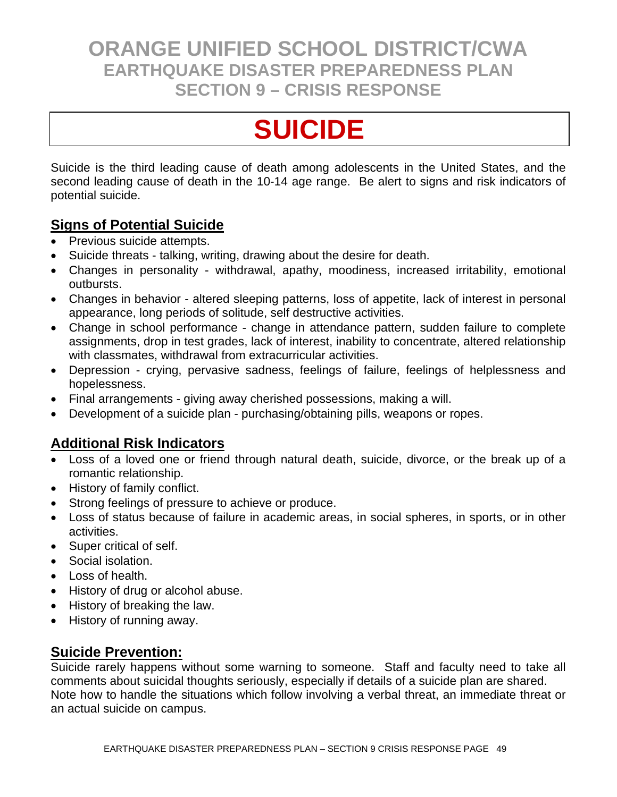# **SUICIDE**

Suicide is the third leading cause of death among adolescents in the United States, and the second leading cause of death in the 10-14 age range. Be alert to signs and risk indicators of potential suicide.

#### **Signs of Potential Suicide**

- Previous suicide attempts.
- Suicide threats talking, writing, drawing about the desire for death.
- Changes in personality withdrawal, apathy, moodiness, increased irritability, emotional outbursts.
- Changes in behavior altered sleeping patterns, loss of appetite, lack of interest in personal appearance, long periods of solitude, self destructive activities.
- Change in school performance change in attendance pattern, sudden failure to complete assignments, drop in test grades, lack of interest, inability to concentrate, altered relationship with classmates, withdrawal from extracurricular activities.
- Depression crying, pervasive sadness, feelings of failure, feelings of helplessness and hopelessness.
- Final arrangements giving away cherished possessions, making a will.
- Development of a suicide plan purchasing/obtaining pills, weapons or ropes.

#### **Additional Risk Indicators**

- Loss of a loved one or friend through natural death, suicide, divorce, or the break up of a romantic relationship.
- History of family conflict.
- Strong feelings of pressure to achieve or produce.
- Loss of status because of failure in academic areas, in social spheres, in sports, or in other activities.
- Super critical of self.
- Social isolation.
- Loss of health.
- History of drug or alcohol abuse.
- History of breaking the law.
- History of running away.

#### **Suicide Prevention:**

Suicide rarely happens without some warning to someone. Staff and faculty need to take all comments about suicidal thoughts seriously, especially if details of a suicide plan are shared. Note how to handle the situations which follow involving a verbal threat, an immediate threat or an actual suicide on campus.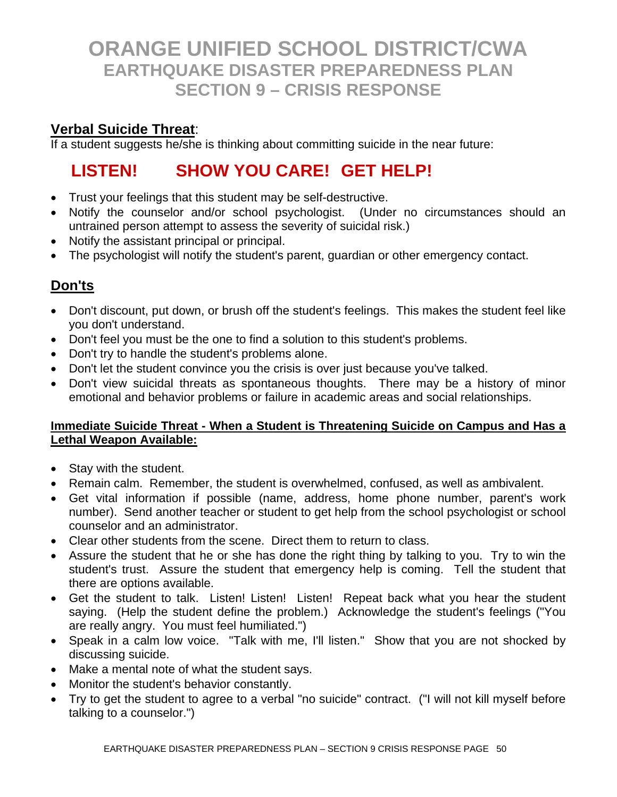#### **Verbal Suicide Threat**:

If a student suggests he/she is thinking about committing suicide in the near future:

### **LISTEN! SHOW YOU CARE! GET HELP!**

- Trust your feelings that this student may be self-destructive.
- Notify the counselor and/or school psychologist. (Under no circumstances should an untrained person attempt to assess the severity of suicidal risk.)
- Notify the assistant principal or principal.
- The psychologist will notify the student's parent, guardian or other emergency contact.

#### **Don'ts**

- Don't discount, put down, or brush off the student's feelings. This makes the student feel like you don't understand.
- Don't feel you must be the one to find a solution to this student's problems.
- Don't try to handle the student's problems alone.
- Don't let the student convince you the crisis is over just because you've talked.
- Don't view suicidal threats as spontaneous thoughts. There may be a history of minor emotional and behavior problems or failure in academic areas and social relationships.

#### **Immediate Suicide Threat - When a Student is Threatening Suicide on Campus and Has a Lethal Weapon Available:**

- Stay with the student.
- Remain calm. Remember, the student is overwhelmed, confused, as well as ambivalent.
- Get vital information if possible (name, address, home phone number, parent's work number). Send another teacher or student to get help from the school psychologist or school counselor and an administrator.
- Clear other students from the scene. Direct them to return to class.
- Assure the student that he or she has done the right thing by talking to you. Try to win the student's trust. Assure the student that emergency help is coming. Tell the student that there are options available.
- Get the student to talk. Listen! Listen! Listen! Repeat back what you hear the student saying. (Help the student define the problem.) Acknowledge the student's feelings ("You are really angry. You must feel humiliated.")
- Speak in a calm low voice. "Talk with me, I'll listen." Show that you are not shocked by discussing suicide.
- Make a mental note of what the student says.
- Monitor the student's behavior constantly.
- Try to get the student to agree to a verbal "no suicide" contract. ("I will not kill myself before talking to a counselor.")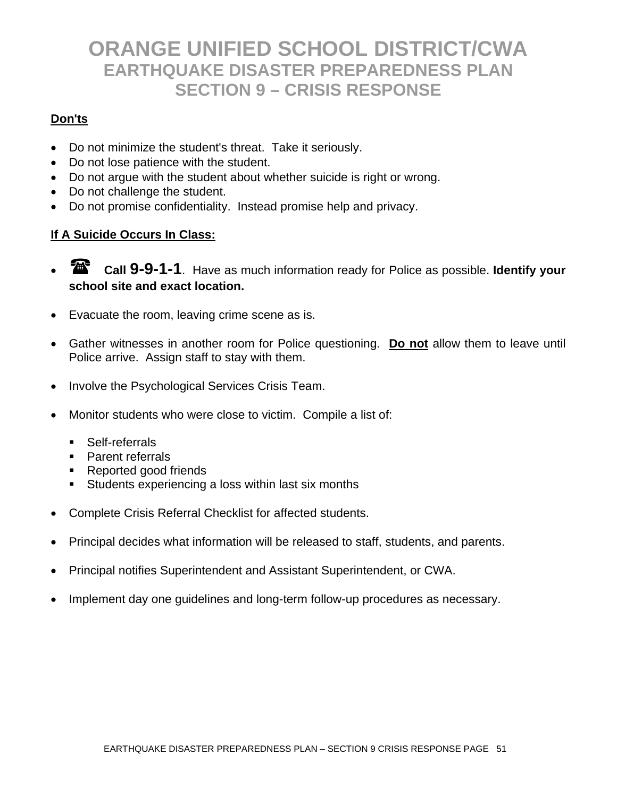#### **Don'ts**

- Do not minimize the student's threat. Take it seriously.
- Do not lose patience with the student.
- Do not argue with the student about whether suicide is right or wrong.
- Do not challenge the student.
- Do not promise confidentiality. Instead promise help and privacy.

#### **If A Suicide Occurs In Class:**

- **Call 9-9-1-1**. Have as much information ready for Police as possible. **Identify your school site and exact location.**
- Evacuate the room, leaving crime scene as is.
- Gather witnesses in another room for Police questioning. **Do not** allow them to leave until Police arrive. Assign staff to stay with them.
- Involve the Psychological Services Crisis Team.
- Monitor students who were close to victim. Compile a list of:
	- **Self-referrals**
	- **Parent referrals**
	- Reported good friends
	- **Students experiencing a loss within last six months**
- Complete Crisis Referral Checklist for affected students.
- Principal decides what information will be released to staff, students, and parents.
- Principal notifies Superintendent and Assistant Superintendent, or CWA.
- Implement day one guidelines and long-term follow-up procedures as necessary.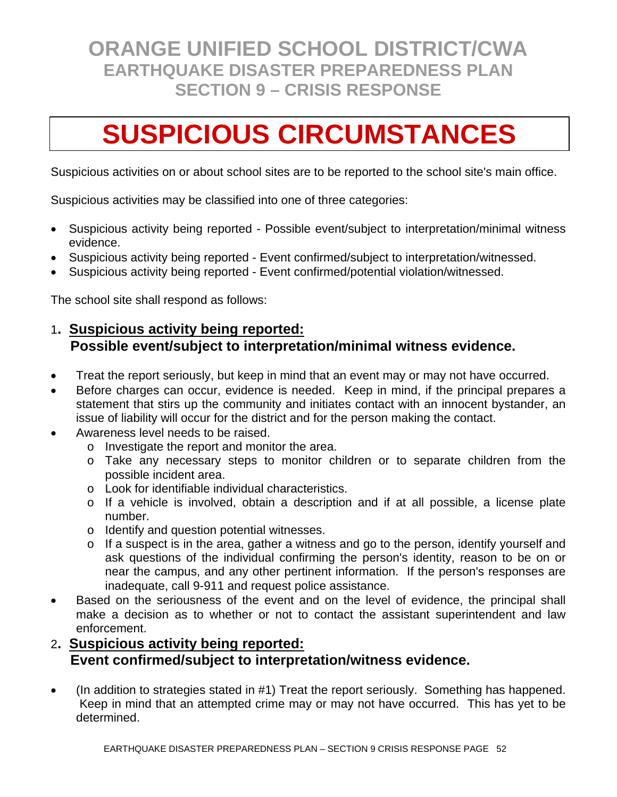# **SUSPICIOUS CIRCUMSTANCES**

Suspicious activities on or about school sites are to be reported to the school site's main office.

Suspicious activities may be classified into one of three categories:

- Suspicious activity being reported Possible event/subject to interpretation/minimal witness evidence.
- Suspicious activity being reported Event confirmed/subject to interpretation/witnessed.
- Suspicious activity being reported Event confirmed/potential violation/witnessed.

The school site shall respond as follows:

#### 1**. Suspicious activity being reported: Possible event/subject to interpretation/minimal witness evidence.**

- Treat the report seriously, but keep in mind that an event may or may not have occurred.
- Before charges can occur, evidence is needed. Keep in mind, if the principal prepares a statement that stirs up the community and initiates contact with an innocent bystander, an issue of liability will occur for the district and for the person making the contact.
- Awareness level needs to be raised.
	- o Investigate the report and monitor the area.
	- o Take any necessary steps to monitor children or to separate children from the possible incident area.
	- o Look for identifiable individual characteristics.
	- o If a vehicle is involved, obtain a description and if at all possible, a license plate number.
	- o Identify and question potential witnesses.
	- o If a suspect is in the area, gather a witness and go to the person, identify yourself and ask questions of the individual confirming the person's identity, reason to be on or near the campus, and any other pertinent information. If the person's responses are inadequate, call 9-911 and request police assistance.
- Based on the seriousness of the event and on the level of evidence, the principal shall make a decision as to whether or not to contact the assistant superintendent and law enforcement.

#### 2**. Suspicious activity being reported: Event confirmed/subject to interpretation/witness evidence.**

• (In addition to strategies stated in #1) Treat the report seriously. Something has happened. Keep in mind that an attempted crime may or may not have occurred. This has yet to be determined.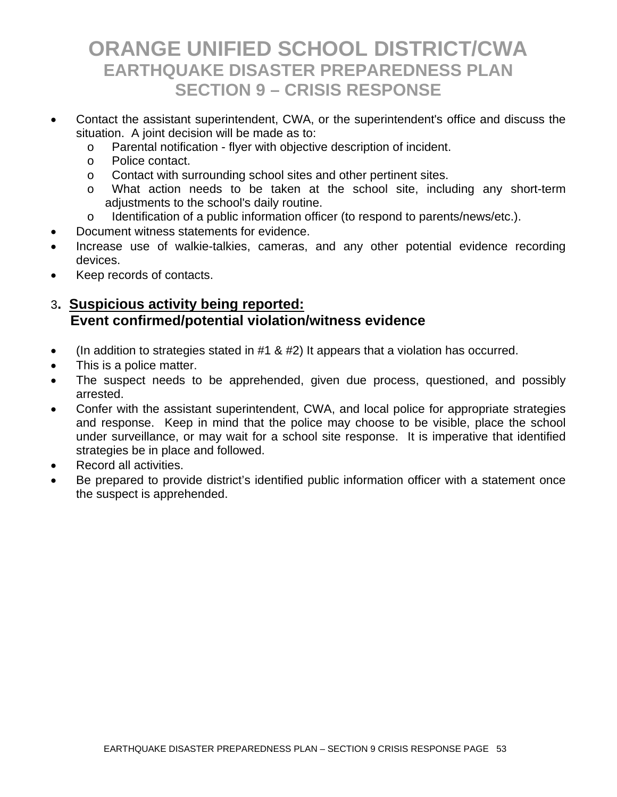- Contact the assistant superintendent, CWA, or the superintendent's office and discuss the situation. A joint decision will be made as to:
	- o Parental notification flyer with objective description of incident.
	- o Police contact.
	- o Contact with surrounding school sites and other pertinent sites.
	- o What action needs to be taken at the school site, including any short-term adjustments to the school's daily routine.
	- o Identification of a public information officer (to respond to parents/news/etc.).
- Document witness statements for evidence.
- Increase use of walkie-talkies, cameras, and any other potential evidence recording devices.
- Keep records of contacts.

#### 3**. Suspicious activity being reported: Event confirmed/potential violation/witness evidence**

- (In addition to strategies stated in  $\#1 \& \#2$ ) It appears that a violation has occurred.
- This is a police matter.
- The suspect needs to be apprehended, given due process, questioned, and possibly arrested.
- Confer with the assistant superintendent, CWA, and local police for appropriate strategies and response. Keep in mind that the police may choose to be visible, place the school under surveillance, or may wait for a school site response. It is imperative that identified strategies be in place and followed.
- Record all activities.
- Be prepared to provide district's identified public information officer with a statement once the suspect is apprehended.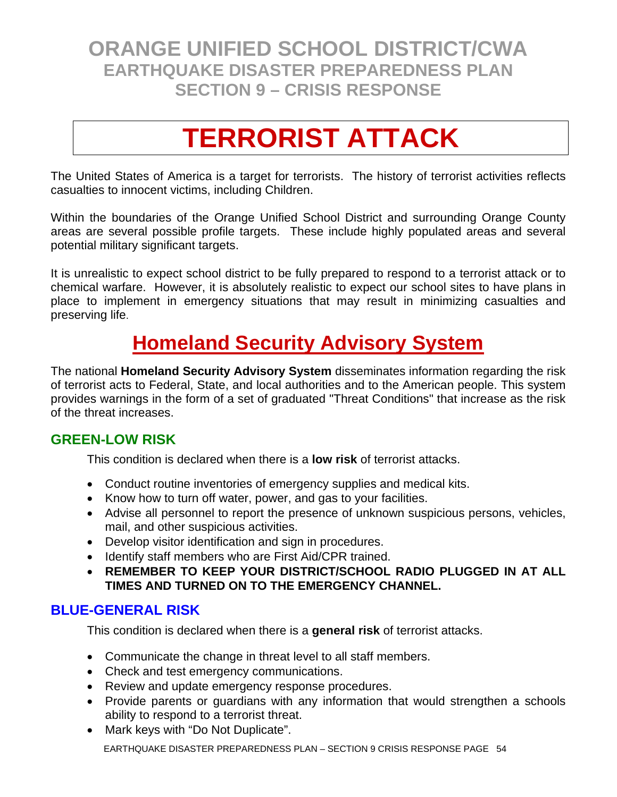# **TERRORIST ATTACK**

The United States of America is a target for terrorists. The history of terrorist activities reflects casualties to innocent victims, including Children.

Within the boundaries of the Orange Unified School District and surrounding Orange County areas are several possible profile targets. These include highly populated areas and several potential military significant targets.

It is unrealistic to expect school district to be fully prepared to respond to a terrorist attack or to chemical warfare. However, it is absolutely realistic to expect our school sites to have plans in place to implement in emergency situations that may result in minimizing casualties and preserving life.

# **Homeland Security Advisory System**

The national **Homeland Security Advisory System** disseminates information regarding the risk of terrorist acts to Federal, State, and local authorities and to the American people. This system provides warnings in the form of a set of graduated "Threat Conditions" that increase as the risk of the threat increases.

#### **GREEN-LOW RISK**

This condition is declared when there is a **low risk** of terrorist attacks.

- Conduct routine inventories of emergency supplies and medical kits.
- Know how to turn off water, power, and gas to your facilities.
- Advise all personnel to report the presence of unknown suspicious persons, vehicles, mail, and other suspicious activities.
- Develop visitor identification and sign in procedures.
- Identify staff members who are First Aid/CPR trained.
- **REMEMBER TO KEEP YOUR DISTRICT/SCHOOL RADIO PLUGGED IN AT ALL TIMES AND TURNED ON TO THE EMERGENCY CHANNEL.**

#### **BLUE-GENERAL RISK**

This condition is declared when there is a **general risk** of terrorist attacks.

- Communicate the change in threat level to all staff members.
- Check and test emergency communications.
- Review and update emergency response procedures.
- Provide parents or guardians with any information that would strengthen a schools ability to respond to a terrorist threat.
- Mark keys with "Do Not Duplicate".

EARTHQUAKE DISASTER PREPAREDNESS PLAN – SECTION 9 CRISIS RESPONSE PAGE 54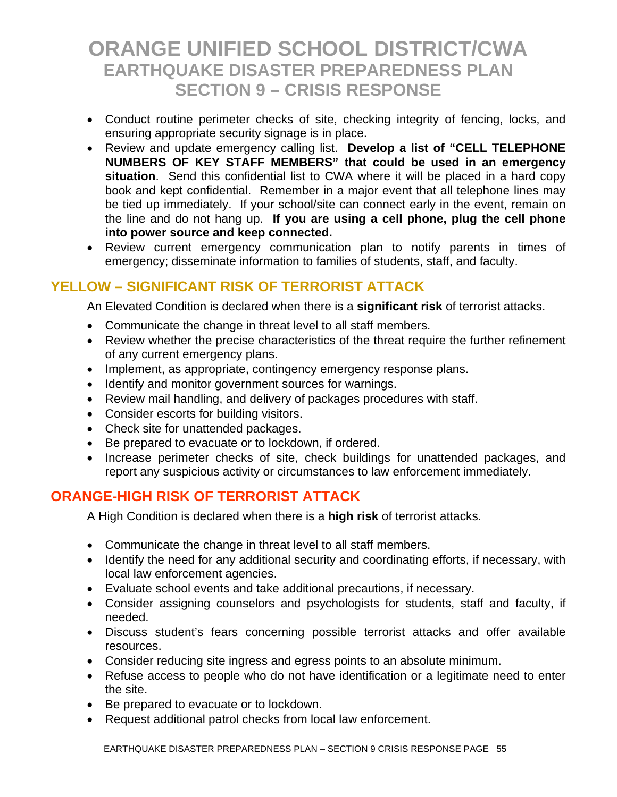- Conduct routine perimeter checks of site, checking integrity of fencing, locks, and ensuring appropriate security signage is in place.
- Review and update emergency calling list. **Develop a list of "CELL TELEPHONE NUMBERS OF KEY STAFF MEMBERS" that could be used in an emergency situation**. Send this confidential list to CWA where it will be placed in a hard copy book and kept confidential. Remember in a major event that all telephone lines may be tied up immediately. If your school/site can connect early in the event, remain on the line and do not hang up. **If you are using a cell phone, plug the cell phone into power source and keep connected.**
- Review current emergency communication plan to notify parents in times of emergency; disseminate information to families of students, staff, and faculty.

#### **YELLOW – SIGNIFICANT RISK OF TERRORIST ATTACK**

An Elevated Condition is declared when there is a **significant risk** of terrorist attacks.

- Communicate the change in threat level to all staff members.
- Review whether the precise characteristics of the threat require the further refinement of any current emergency plans.
- Implement, as appropriate, contingency emergency response plans.
- Identify and monitor government sources for warnings.
- Review mail handling, and delivery of packages procedures with staff.
- Consider escorts for building visitors.
- Check site for unattended packages.
- Be prepared to evacuate or to lockdown, if ordered.
- Increase perimeter checks of site, check buildings for unattended packages, and report any suspicious activity or circumstances to law enforcement immediately.

#### **ORANGE-HIGH RISK OF TERRORIST ATTACK**

A High Condition is declared when there is a **high risk** of terrorist attacks.

- Communicate the change in threat level to all staff members.
- Identify the need for any additional security and coordinating efforts, if necessary, with local law enforcement agencies.
- Evaluate school events and take additional precautions, if necessary.
- Consider assigning counselors and psychologists for students, staff and faculty, if needed.
- Discuss student's fears concerning possible terrorist attacks and offer available resources.
- Consider reducing site ingress and egress points to an absolute minimum.
- Refuse access to people who do not have identification or a legitimate need to enter the site.
- Be prepared to evacuate or to lockdown.
- Request additional patrol checks from local law enforcement.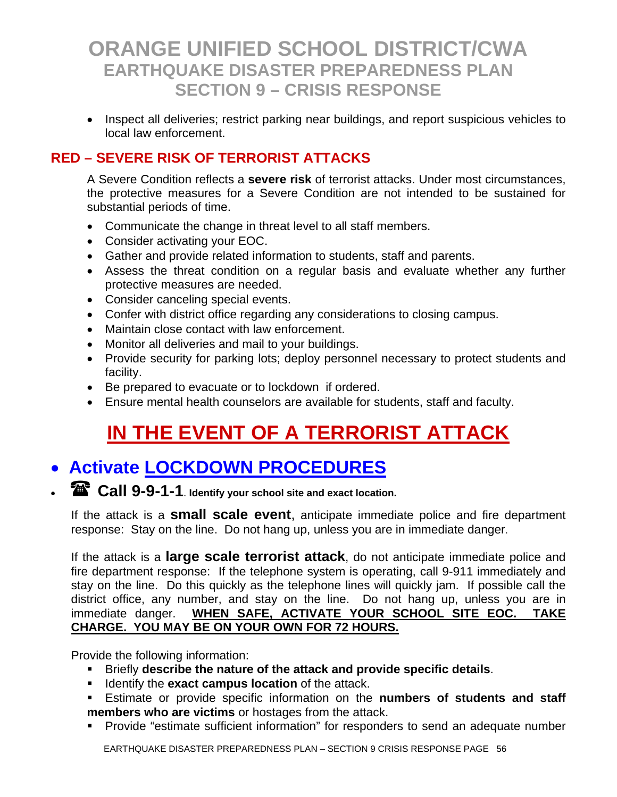• Inspect all deliveries; restrict parking near buildings, and report suspicious vehicles to local law enforcement.

#### **RED – SEVERE RISK OF TERRORIST ATTACKS**

A Severe Condition reflects a **severe risk** of terrorist attacks. Under most circumstances, the protective measures for a Severe Condition are not intended to be sustained for substantial periods of time.

- Communicate the change in threat level to all staff members.
- Consider activating your EOC.
- Gather and provide related information to students, staff and parents.
- Assess the threat condition on a regular basis and evaluate whether any further protective measures are needed.
- Consider canceling special events.
- Confer with district office regarding any considerations to closing campus.
- Maintain close contact with law enforcement.
- Monitor all deliveries and mail to your buildings.
- Provide security for parking lots; deploy personnel necessary to protect students and facility.
- Be prepared to evacuate or to lockdown if ordered.
- Ensure mental health counselors are available for students, staff and faculty.

# **IN THE EVENT OF A TERRORIST ATTACK**

# • **Activate LOCKDOWN PROCEDURES**

• **Call 9-9-1-1**. **Identify your school site and exact location.**

If the attack is a **small scale event**, anticipate immediate police and fire department response: Stay on the line. Do not hang up, unless you are in immediate danger.

If the attack is a **large scale terrorist attack**, do not anticipate immediate police and fire department response: If the telephone system is operating, call 9-911 immediately and stay on the line. Do this quickly as the telephone lines will quickly jam. If possible call the district office, any number, and stay on the line. Do not hang up, unless you are in immediate danger. **WHEN SAFE, ACTIVATE YOUR SCHOOL SITE EOC. TAKE CHARGE. YOU MAY BE ON YOUR OWN FOR 72 HOURS.**

Provide the following information:

- Briefly **describe the nature of the attack and provide specific details**.
- **IDENTIFY THE EXACT CAMPUS location** of the attack.
- Estimate or provide specific information on the **numbers of students and staff members who are victims** or hostages from the attack.
- **Provide "estimate sufficient information" for responders to send an adequate number**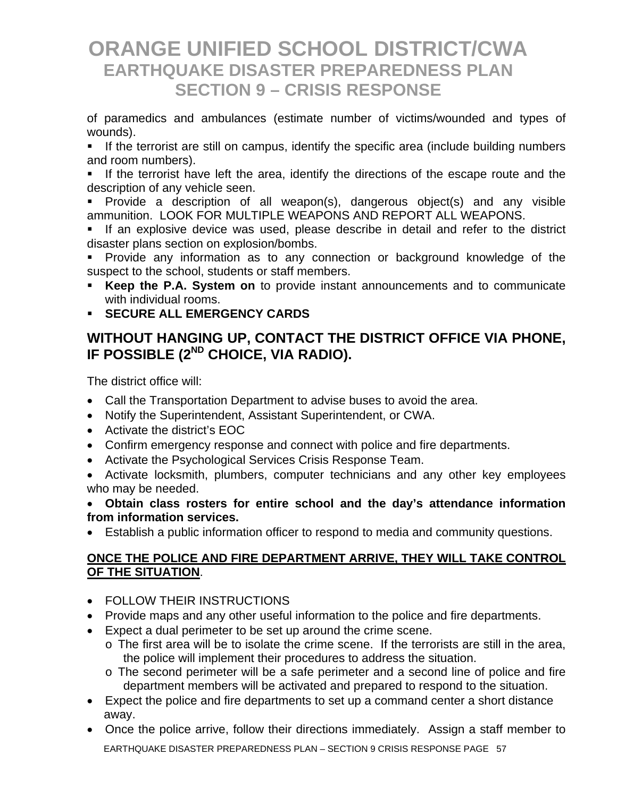of paramedics and ambulances (estimate number of victims/wounded and types of wounds).

 If the terrorist are still on campus, identify the specific area (include building numbers and room numbers).

If the terrorist have left the area, identify the directions of the escape route and the description of any vehicle seen.

 Provide a description of all weapon(s), dangerous object(s) and any visible ammunition. LOOK FOR MULTIPLE WEAPONS AND REPORT ALL WEAPONS.

 If an explosive device was used, please describe in detail and refer to the district disaster plans section on explosion/bombs.

 Provide any information as to any connection or background knowledge of the suspect to the school, students or staff members.

- **Keep the P.A. System on** to provide instant announcements and to communicate with individual rooms.
- **SECURE ALL EMERGENCY CARDS**

#### **WITHOUT HANGING UP, CONTACT THE DISTRICT OFFICE VIA PHONE, IF POSSIBLE (2<sup>ND</sup> CHOICE, VIA RADIO).**

The district office will:

- Call the Transportation Department to advise buses to avoid the area.
- Notify the Superintendent, Assistant Superintendent, or CWA.
- Activate the district's EOC
- Confirm emergency response and connect with police and fire departments.
- Activate the Psychological Services Crisis Response Team.

• Activate locksmith, plumbers, computer technicians and any other key employees who may be needed.

• **Obtain class rosters for entire school and the day's attendance information from information services.**

• Establish a public information officer to respond to media and community questions.

#### **ONCE THE POLICE AND FIRE DEPARTMENT ARRIVE, THEY WILL TAKE CONTROL OF THE SITUATION**.

- FOLLOW THEIR INSTRUCTIONS
- Provide maps and any other useful information to the police and fire departments.
- Expect a dual perimeter to be set up around the crime scene.
	- o The first area will be to isolate the crime scene. If the terrorists are still in the area, the police will implement their procedures to address the situation.
	- o The second perimeter will be a safe perimeter and a second line of police and fire department members will be activated and prepared to respond to the situation.
- Expect the police and fire departments to set up a command center a short distance away.
- EARTHQUAKE DISASTER PREPAREDNESS PLAN SECTION 9 CRISIS RESPONSE PAGE 57 • Once the police arrive, follow their directions immediately. Assign a staff member to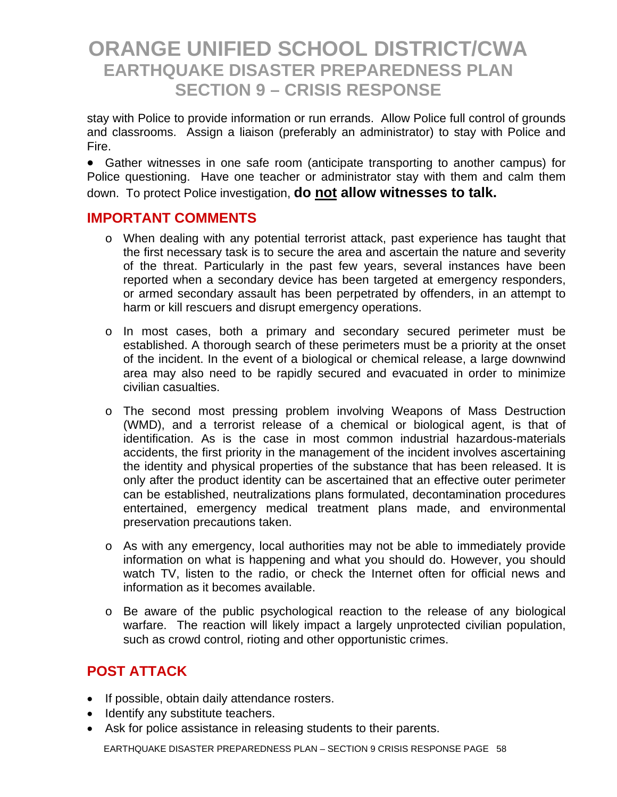stay with Police to provide information or run errands. Allow Police full control of grounds and classrooms. Assign a liaison (preferably an administrator) to stay with Police and Fire.

• Gather witnesses in one safe room (anticipate transporting to another campus) for Police questioning. Have one teacher or administrator stay with them and calm them down. To protect Police investigation, **do not allow witnesses to talk.** 

#### **IMPORTANT COMMENTS**

- o When dealing with any potential terrorist attack, past experience has taught that the first necessary task is to secure the area and ascertain the nature and severity of the threat. Particularly in the past few years, several instances have been reported when a secondary device has been targeted at emergency responders, or armed secondary assault has been perpetrated by offenders, in an attempt to harm or kill rescuers and disrupt emergency operations.
- o In most cases, both a primary and secondary secured perimeter must be established. A thorough search of these perimeters must be a priority at the onset of the incident. In the event of a biological or chemical release, a large downwind area may also need to be rapidly secured and evacuated in order to minimize civilian casualties.
- o The second most pressing problem involving Weapons of Mass Destruction (WMD), and a terrorist release of a chemical or biological agent, is that of identification. As is the case in most common industrial hazardous-materials accidents, the first priority in the management of the incident involves ascertaining the identity and physical properties of the substance that has been released. It is only after the product identity can be ascertained that an effective outer perimeter can be established, neutralizations plans formulated, decontamination procedures entertained, emergency medical treatment plans made, and environmental preservation precautions taken.
- o As with any emergency, local authorities may not be able to immediately provide information on what is happening and what you should do. However, you should watch TV, listen to the radio, or check the Internet often for official news and information as it becomes available.
- o Be aware of the public psychological reaction to the release of any biological warfare. The reaction will likely impact a largely unprotected civilian population, such as crowd control, rioting and other opportunistic crimes.

#### **POST ATTACK**

- If possible, obtain daily attendance rosters.
- Identify any substitute teachers.
- Ask for police assistance in releasing students to their parents.

EARTHQUAKE DISASTER PREPAREDNESS PLAN – SECTION 9 CRISIS RESPONSE PAGE 58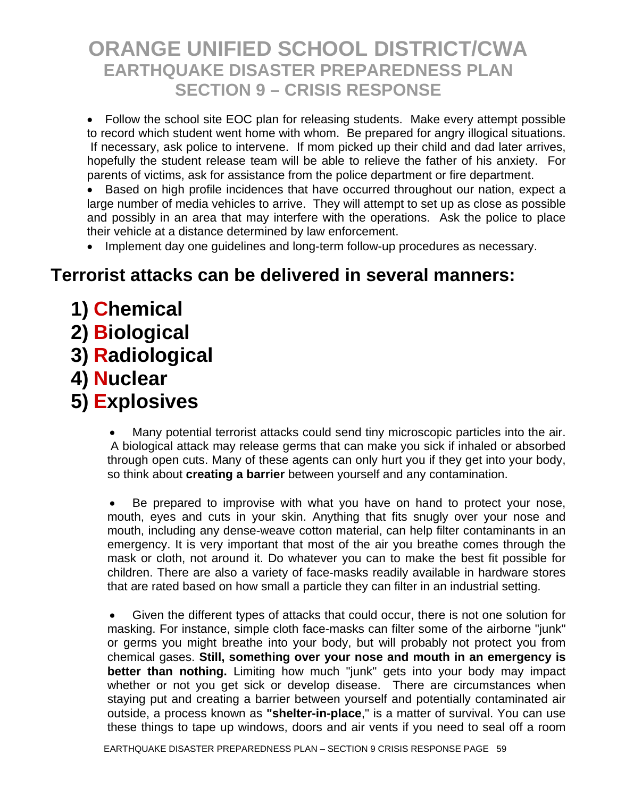• Follow the school site EOC plan for releasing students. Make every attempt possible to record which student went home with whom. Be prepared for angry illogical situations. If necessary, ask police to intervene. If mom picked up their child and dad later arrives, hopefully the student release team will be able to relieve the father of his anxiety. For parents of victims, ask for assistance from the police department or fire department.

Based on high profile incidences that have occurred throughout our nation, expect a large number of media vehicles to arrive. They will attempt to set up as close as possible and possibly in an area that may interfere with the operations. Ask the police to place their vehicle at a distance determined by law enforcement.

• Implement day one guidelines and long-term follow-up procedures as necessary.

#### **Terrorist attacks can be delivered in several manners:**

**1) Chemical 2) Biological 3) Radiological 4) Nuclear 5) Explosives** 

> • Many potential terrorist attacks could send tiny microscopic particles into the air. A biological attack may release germs that can make you sick if inhaled or absorbed through open cuts. Many of these agents can only hurt you if they get into your body, so think about **creating a barrier** between yourself and any contamination.

> • Be prepared to improvise with what you have on hand to protect your nose, mouth, eyes and cuts in your skin. Anything that fits snugly over your nose and mouth, including any dense-weave cotton material, can help filter contaminants in an emergency. It is very important that most of the air you breathe comes through the mask or cloth, not around it. Do whatever you can to make the best fit possible for children. There are also a variety of face-masks readily available in hardware stores that are rated based on how small a particle they can filter in an industrial setting.

> • Given the different types of attacks that could occur, there is not one solution for masking. For instance, simple cloth face-masks can filter some of the airborne "junk" or germs you might breathe into your body, but will probably not protect you from chemical gases. **Still, something over your nose and mouth in an emergency is better than nothing.** Limiting how much "junk" gets into your body may impact whether or not you get sick or develop disease. There are circumstances when staying put and creating a barrier between yourself and potentially contaminated air outside, a process known as **"shelter-in-place**," is a matter of survival. You can use these things to tape up windows, doors and air vents if you need to seal off a room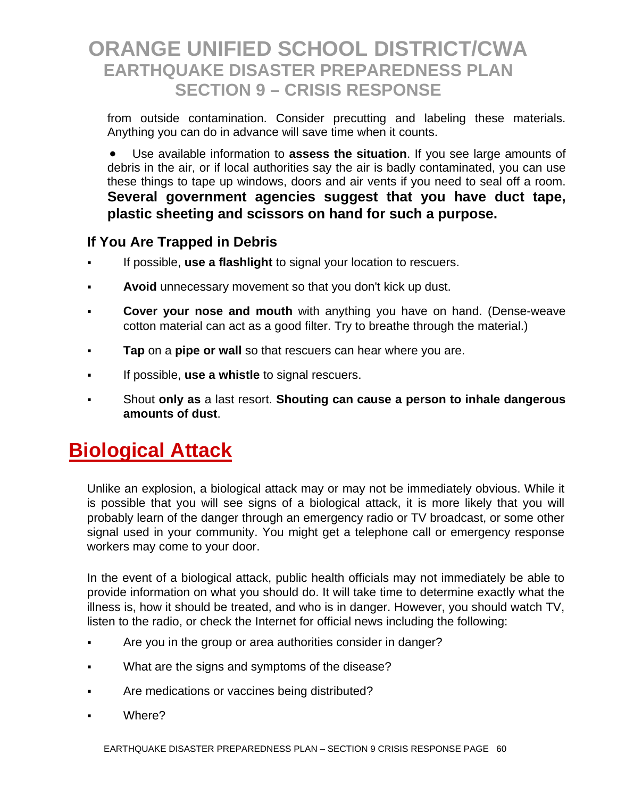from outside contamination. Consider precutting and labeling these materials. Anything you can do in advance will save time when it counts.

• Use available information to **assess the situation**. If you see large amounts of debris in the air, or if local authorities say the air is badly contaminated, you can use these things to tape up windows, doors and air vents if you need to seal off a room. **Several government agencies suggest that you have duct tape, plastic sheeting and scissors on hand for such a purpose.** 

#### **If You Are Trapped in Debris**

- If possible, **use a flashlight** to signal your location to rescuers.
- **Avoid** unnecessary movement so that you don't kick up dust.
- **Cover your nose and mouth** with anything you have on hand. (Dense-weave cotton material can act as a good filter. Try to breathe through the material.)
- **Tap** on a **pipe or wall** so that rescuers can hear where you are.
- If possible, **use a whistle** to signal rescuers.
- Shout **only as** a last resort. **Shouting can cause a person to inhale dangerous amounts of dust**.

# **Biological Attack**

Unlike an explosion, a biological attack may or may not be immediately obvious. While it is possible that you will see signs of a biological attack, it is more likely that you will probably learn of the danger through an emergency radio or TV broadcast, or some other signal used in your community. You might get a telephone call or emergency response workers may come to your door.

In the event of a biological attack, public health officials may not immediately be able to provide information on what you should do. It will take time to determine exactly what the illness is, how it should be treated, and who is in danger. However, you should watch TV, listen to the radio, or check the Internet for official news including the following:

- Are you in the group or area authorities consider in danger?
- What are the signs and symptoms of the disease?
- Are medications or vaccines being distributed?
- Where?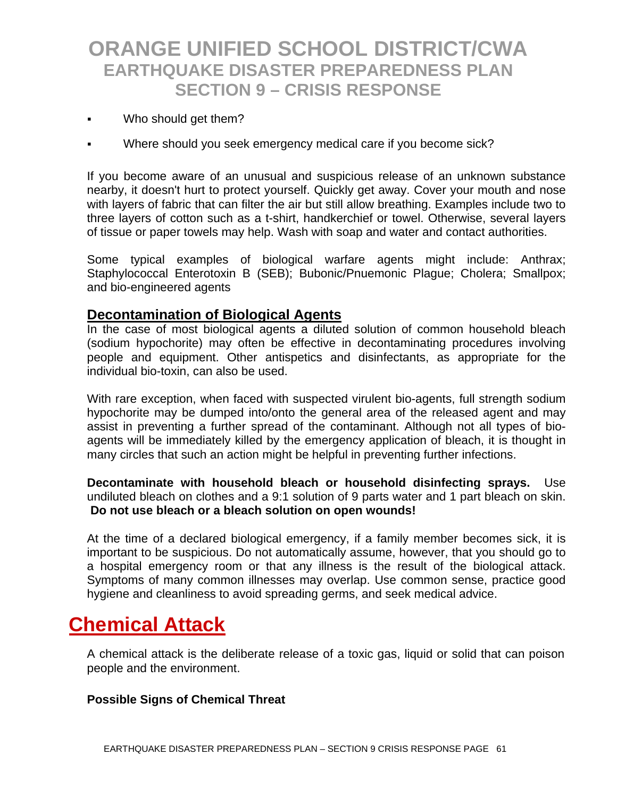- Who should get them?
- Where should you seek emergency medical care if you become sick?

If you become aware of an unusual and suspicious release of an unknown substance nearby, it doesn't hurt to protect yourself. Quickly get away. Cover your mouth and nose with layers of fabric that can filter the air but still allow breathing. Examples include two to three layers of cotton such as a t-shirt, handkerchief or towel. Otherwise, several layers of tissue or paper towels may help. Wash with soap and water and contact authorities.

Some typical examples of biological warfare agents might include: Anthrax; Staphylococcal Enterotoxin B (SEB); Bubonic/Pnuemonic Plague; Cholera; Smallpox; and bio-engineered agents

#### **Decontamination of Biological Agents**

In the case of most biological agents a diluted solution of common household bleach (sodium hypochorite) may often be effective in decontaminating procedures involving people and equipment. Other antispetics and disinfectants, as appropriate for the individual bio-toxin, can also be used.

With rare exception, when faced with suspected virulent bio-agents, full strength sodium hypochorite may be dumped into/onto the general area of the released agent and may assist in preventing a further spread of the contaminant. Although not all types of bioagents will be immediately killed by the emergency application of bleach, it is thought in many circles that such an action might be helpful in preventing further infections.

**Decontaminate with household bleach or household disinfecting sprays.** Use undiluted bleach on clothes and a 9:1 solution of 9 parts water and 1 part bleach on skin. **Do not use bleach or a bleach solution on open wounds!** 

At the time of a declared biological emergency, if a family member becomes sick, it is important to be suspicious. Do not automatically assume, however, that you should go to a hospital emergency room or that any illness is the result of the biological attack. Symptoms of many common illnesses may overlap. Use common sense, practice good hygiene and cleanliness to avoid spreading germs, and seek medical advice.

# **Chemical Attack**

A chemical attack is the deliberate release of a toxic gas, liquid or solid that can poison people and the environment.

#### **Possible Signs of Chemical Threat**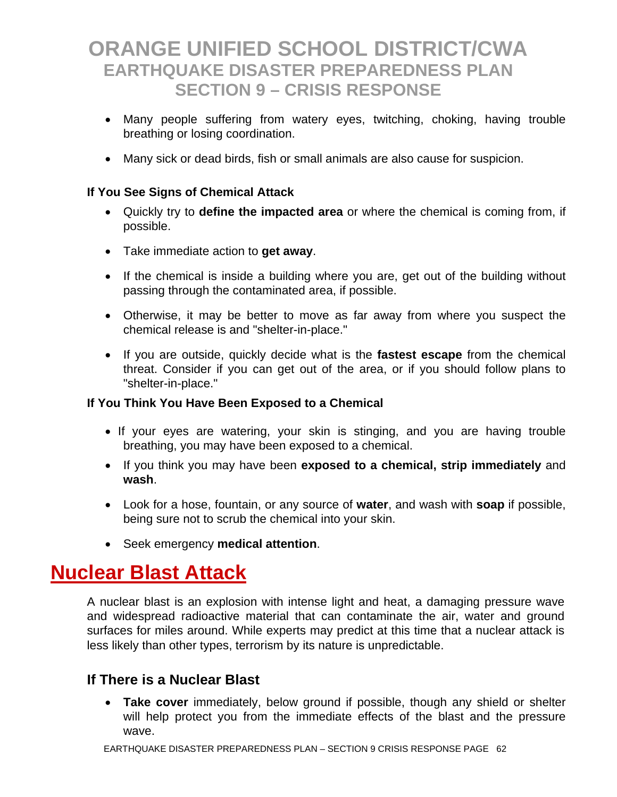- Many people suffering from watery eyes, twitching, choking, having trouble breathing or losing coordination.
- Many sick or dead birds, fish or small animals are also cause for suspicion.

#### **If You See Signs of Chemical Attack**

- Quickly try to **define the impacted area** or where the chemical is coming from, if possible.
- Take immediate action to **get away**.
- If the chemical is inside a building where you are, get out of the building without passing through the contaminated area, if possible.
- Otherwise, it may be better to move as far away from where you suspect the chemical release is and "shelter-in-place."
- If you are outside, quickly decide what is the **fastest escape** from the chemical threat. Consider if you can get out of the area, or if you should follow plans to "shelter-in-place."

#### **If You Think You Have Been Exposed to a Chemical**

- If your eyes are watering, your skin is stinging, and you are having trouble breathing, you may have been exposed to a chemical.
- If you think you may have been **exposed to a chemical, strip immediately** and **wash**.
- Look for a hose, fountain, or any source of **water**, and wash with **soap** if possible, being sure not to scrub the chemical into your skin.
- Seek emergency **medical attention**.

### **Nuclear Blast Attack**

A nuclear blast is an explosion with intense light and heat, a damaging pressure wave and widespread radioactive material that can contaminate the air, water and ground surfaces for miles around. While experts may predict at this time that a nuclear attack is less likely than other types, terrorism by its nature is unpredictable.

#### **If There is a Nuclear Blast**

• **Take cover** immediately, below ground if possible, though any shield or shelter will help protect you from the immediate effects of the blast and the pressure wave.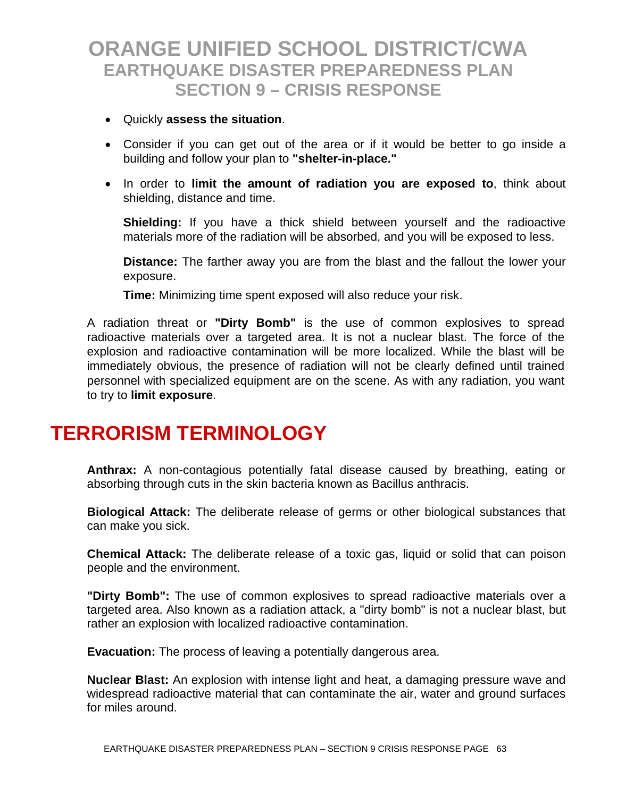- Quickly **assess the situation**.
- Consider if you can get out of the area or if it would be better to go inside a building and follow your plan to **"shelter-in-place."**
- In order to **limit the amount of radiation you are exposed to**, think about shielding, distance and time.

**Shielding:** If you have a thick shield between yourself and the radioactive materials more of the radiation will be absorbed, and you will be exposed to less.

**Distance:** The farther away you are from the blast and the fallout the lower your exposure.

**Time:** Minimizing time spent exposed will also reduce your risk.

A radiation threat or **"Dirty Bomb"** is the use of common explosives to spread radioactive materials over a targeted area. It is not a nuclear blast. The force of the explosion and radioactive contamination will be more localized. While the blast will be immediately obvious, the presence of radiation will not be clearly defined until trained personnel with specialized equipment are on the scene. As with any radiation, you want to try to **limit exposure**.

# **TERRORISM TERMINOLOGY**

**Anthrax:** A non-contagious potentially fatal disease caused by breathing, eating or absorbing through cuts in the skin bacteria known as Bacillus anthracis.

**Biological Attack:** The deliberate release of germs or other biological substances that can make you sick.

**Chemical Attack:** The deliberate release of a toxic gas, liquid or solid that can poison people and the environment.

**"Dirty Bomb":** The use of common explosives to spread radioactive materials over a targeted area. Also known as a radiation attack, a "dirty bomb" is not a nuclear blast, but rather an explosion with localized radioactive contamination.

**Evacuation:** The process of leaving a potentially dangerous area.

**Nuclear Blast:** An explosion with intense light and heat, a damaging pressure wave and widespread radioactive material that can contaminate the air, water and ground surfaces for miles around.